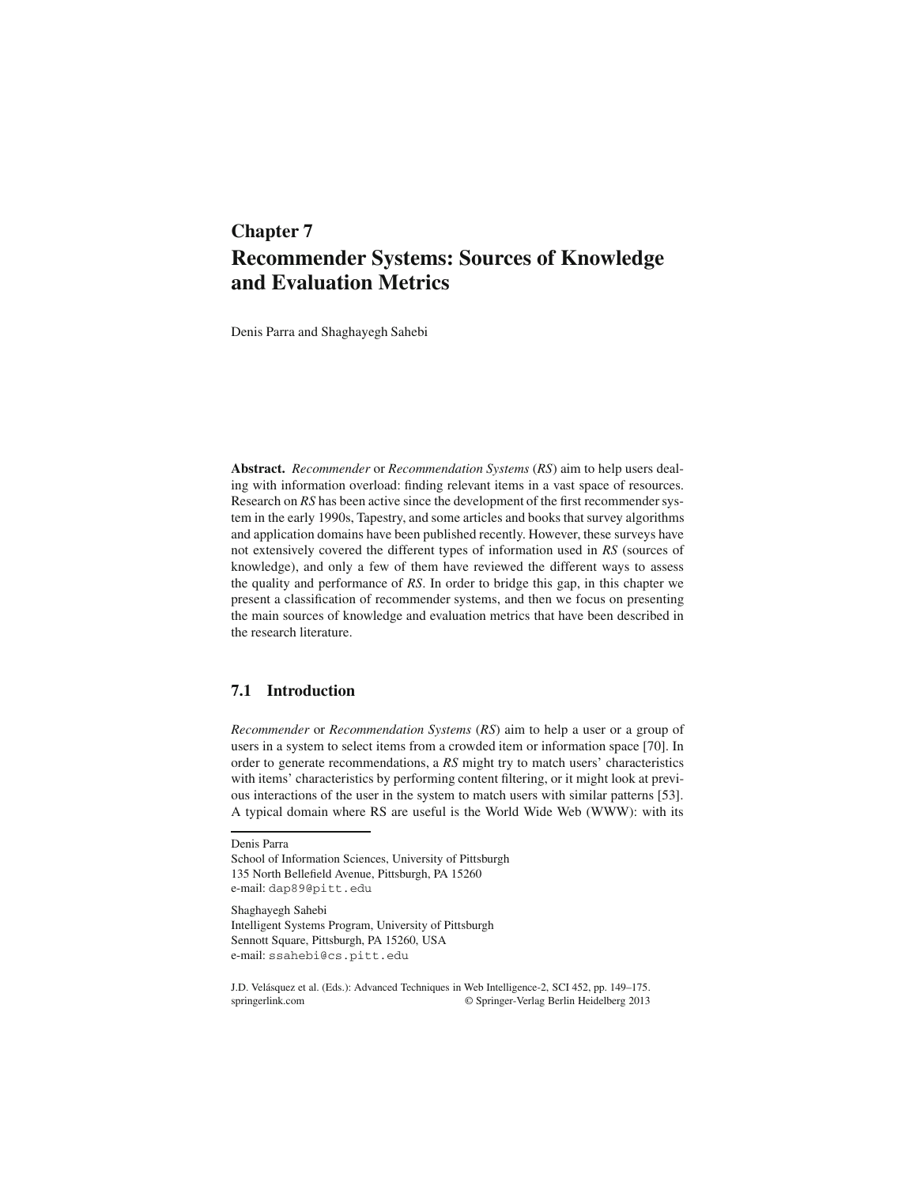# **Chapter 7 Recommender Systems: Sources of Knowledge and Evaluation Metrics**

Denis Parra and Shaghayegh Sahebi

**Abstract.** *Recommender* or *Recommendation Systems* (*RS*) aim to help users dealing with information overload: finding relevant items in a vast space of resources. Research on *RS* has been active since the development of the first recommender system in the early 1990s, Tapestry, and some articles and books that survey algorithms and application domains have been published recently. However, these surveys have not extensively covered the different types of information used in *RS* (sources of knowledge), and only a few of them have reviewed the different ways to assess the quality and performance of *RS*. In order to bridge this gap, in this chapter we present a classification of recommender systems, and then we focus on presenting the main sources of knowledge and evaluation metrics that have been described in the research literature.

# **7.1 Introduction**

*Recommender* or *Recommendation Systems* (*RS*) aim to help a user or a group of users in a system to select items from a crowded item or information space [70]. In order to generate recommendations, a *RS* might try to match users' characteristics with items' characteristics by performing content filtering, or it might look at previous interactions of the user in the system to match users with similar patterns [53]. A typical domain where RS are useful is the World Wide Web (WWW): with its

Denis Parra

Shaghayegh Sahebi Intelligent Systems Program, University of Pittsburgh Sennott Square, Pittsburgh, PA 15260, USA e-mail: ssahebi@cs.pitt.edu

School of Information Sciences, University of Pittsburgh 135 North Bellefield Avenue, Pittsburgh, PA 15260 e-mail: dap89@pitt.edu

J.D. Velásquez et al. (Eds.): Advanced Techniques in Web Intelligence-2, SCI 452, pp. 149-175. springerlink.com © Springer-Verlag Berlin Heidelberg 2013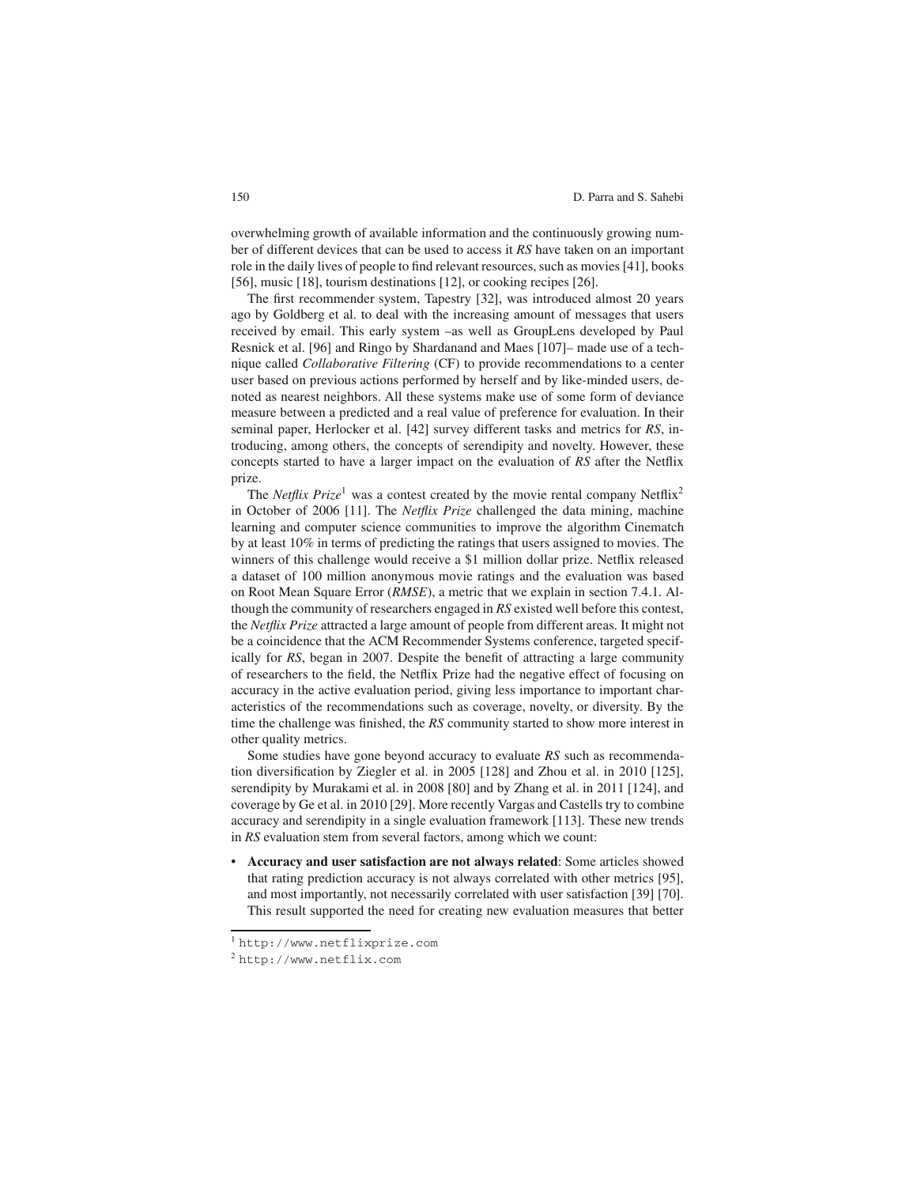overwhelming growth of available information and the continuously growing number of different devices that can be used to access it *RS* have taken on an important role in the daily lives of people to find relevant resources, such as movies [41], books [56], music [18], tourism destinations [12], or cooking recipes [26].

The first recommender system, Tapestry [32], was introduced almost 20 years ago by Goldberg et al. to deal with the increasing amount of messages that users received by email. This early system –as well as GroupLens developed by Paul Resnick et al. [96] and Ringo by Shardanand and Maes [107]– made use of a technique called *Collaborative Filtering* (CF) to provide recommendations to a center user based on previous actions performed by herself and by like-minded users, denoted as nearest neighbors. All these systems make use of some form of deviance measure between a predicted and a real value of preference for evaluation. In their seminal paper, Herlocker et al. [42] survey different tasks and metrics for *RS*, introducing, among others, the concepts of serendipity and novelty. However, these concepts started to have a larger impact on the evaluation of *RS* after the Netflix prize.

The *Netflix Prize*<sup>1</sup> was a contest created by the movie rental company Netflix<sup>2</sup> in October of 2006 [11]. The *Netflix Prize* challenged the data mining, machine learning and computer science communities to improve the algorithm Cinematch by at least 10% in terms of predicting the ratings that users assigned to movies. The winners of this challenge would receive a \$1 million dollar prize. Netflix released a dataset of 100 million anonymous movie ratings and the evaluation was based on Root Mean Square Error (*RMSE*), a metric that we explain in section 7.4.1. Although the community of researchers engaged in *RS* existed well before this contest, the *Netflix Prize* attracted a large amount of people from different areas. It might not be a coincidence that the ACM Recommender Systems conference, targeted specifically for *RS*, began in 2007. Despite the benefit of attracting a large community of researchers to the field, the Netflix Prize had the negative effect of focusing on accuracy in the active evaluation period, giving less importance to important characteristics of the recommendations such as coverage, novelty, or diversity. By the time the challenge was finished, the *RS* community started to show more interest in other quality metrics.

Some studies have gone beyond accuracy to evaluate *RS* such as recommendation diversification by Ziegler et al. in 2005 [128] and Zhou et al. in 2010 [125], serendipity by Murakami et al. in 2008 [80] and by Zhang et al. in 2011 [124], and coverage by Ge et al. in 2010 [29]. More recently Vargas and Castells try to combine accuracy and serendipity in a single evaluation framework [113]. These new trends in *RS* evaluation stem from several factors, among which we count:

• **Accuracy and user satisfaction are not always related**: Some articles showed that rating prediction accuracy is not always correlated with other metrics [95], and most importantly, not necessarily correlated with user satisfaction [39] [70]. This result supported the need for creating new evaluation measures that better

<sup>1</sup> http://www.netflixprize.com

<sup>2</sup> http://www.netflix.com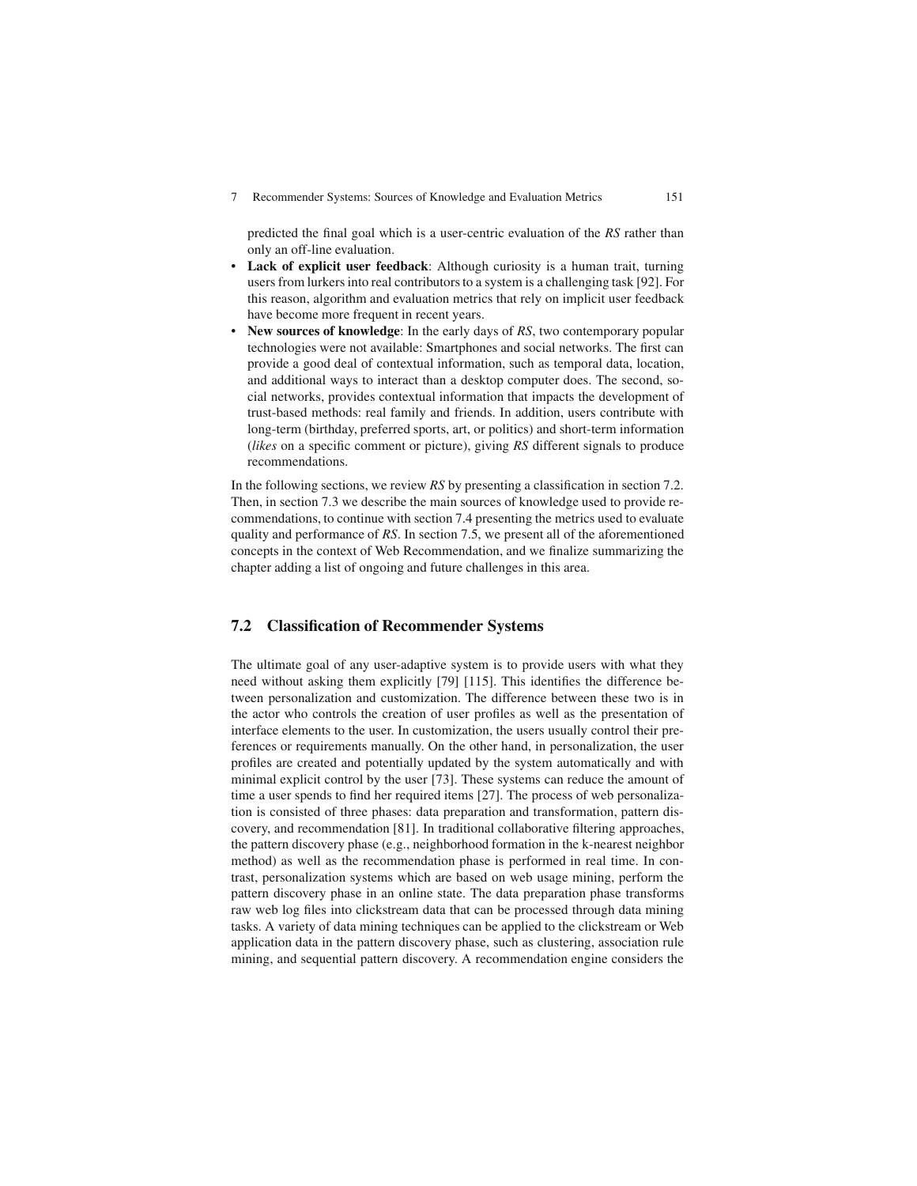7 Recommender Systems: Sources of Knowledge and Evaluation Metrics 151

predicted the final goal which is a user-centric evaluation of the *RS* rather than only an off-line evaluation.

- **Lack of explicit user feedback**: Although curiosity is a human trait, turning users from lurkers into real contributors to a system is a challenging task [92]. For this reason, algorithm and evaluation metrics that rely on implicit user feedback have become more frequent in recent years.
- **New sources of knowledge**: In the early days of *RS*, two contemporary popular technologies were not available: Smartphones and social networks. The first can provide a good deal of contextual information, such as temporal data, location, and additional ways to interact than a desktop computer does. The second, social networks, provides contextual information that impacts the development of trust-based methods: real family and friends. In addition, users contribute with long-term (birthday, preferred sports, art, or politics) and short-term information (*likes* on a specific comment or picture), giving *RS* different signals to produce recommendations.

In the following sections, we review *RS* by presenting a classification in section 7.2. Then, in section 7.3 we describe the main sources of knowledge used to provide recommendations, to continue with section 7.4 presenting the metrics used to evaluate quality and performance of *RS*. In section 7.5, we present all of the aforementioned concepts in the context of Web Recommendation, and we finalize summarizing the chapter adding a list of ongoing and future challenges in this area.

# **7.2 Classification of Recommender Systems**

The ultimate goal of any user-adaptive system is to provide users with what they need without asking them explicitly [79] [115]. This identifies the difference between personalization and customization. The difference between these two is in the actor who controls the creation of user profiles as well as the presentation of interface elements to the user. In customization, the users usually control their preferences or requirements manually. On the other hand, in personalization, the user profiles are created and potentially updated by the system automatically and with minimal explicit control by the user [73]. These systems can reduce the amount of time a user spends to find her required items [27]. The process of web personalization is consisted of three phases: data preparation and transformation, pattern discovery, and recommendation [81]. In traditional collaborative filtering approaches, the pattern discovery phase (e.g., neighborhood formation in the k-nearest neighbor method) as well as the recommendation phase is performed in real time. In contrast, personalization systems which are based on web usage mining, perform the pattern discovery phase in an online state. The data preparation phase transforms raw web log files into clickstream data that can be processed through data mining tasks. A variety of data mining techniques can be applied to the clickstream or Web application data in the pattern discovery phase, such as clustering, association rule mining, and sequential pattern discovery. A recommendation engine considers the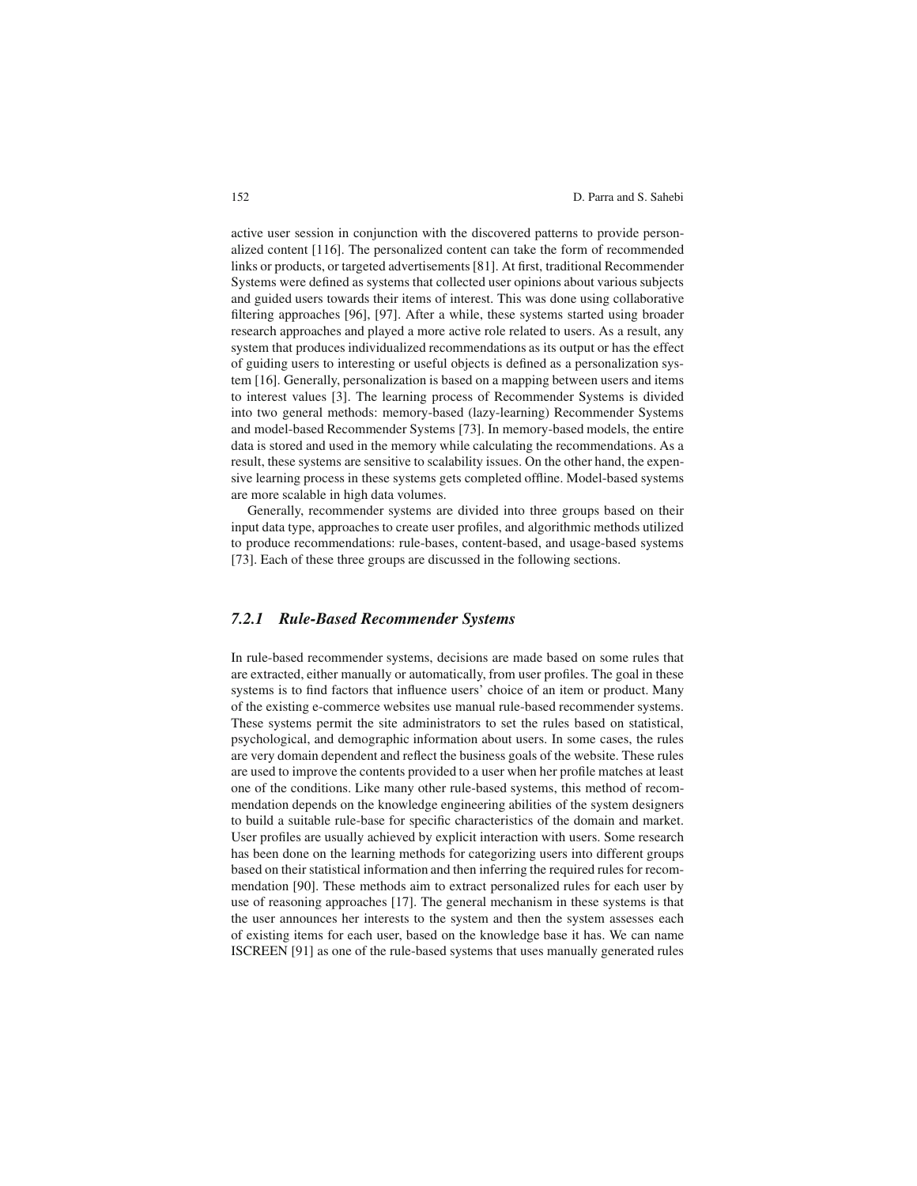active user session in conjunction with the discovered patterns to provide personalized content [116]. The personalized content can take the form of recommended links or products, or targeted advertisements [81]. At first, traditional Recommender Systems were defined as systems that collected user opinions about various subjects and guided users towards their items of interest. This was done using collaborative filtering approaches [96], [97]. After a while, these systems started using broader research approaches and played a more active role related to users. As a result, any system that produces individualized recommendations as its output or has the effect of guiding users to interesting or useful objects is defined as a personalization system [16]. Generally, personalization is based on a mapping between users and items to interest values [3]. The learning process of Recommender Systems is divided into two general methods: memory-based (lazy-learning) Recommender Systems and model-based Recommender Systems [73]. In memory-based models, the entire data is stored and used in the memory while calculating the recommendations. As a result, these systems are sensitive to scalability issues. On the other hand, the expensive learning process in these systems gets completed offline. Model-based systems are more scalable in high data volumes.

Generally, recommender systems are divided into three groups based on their input data type, approaches to create user profiles, and algorithmic methods utilized to produce recommendations: rule-bases, content-based, and usage-based systems [73]. Each of these three groups are discussed in the following sections.

## *7.2.1 Rule-Based Recommender Systems*

In rule-based recommender systems, decisions are made based on some rules that are extracted, either manually or automatically, from user profiles. The goal in these systems is to find factors that influence users' choice of an item or product. Many of the existing e-commerce websites use manual rule-based recommender systems. These systems permit the site administrators to set the rules based on statistical, psychological, and demographic information about users. In some cases, the rules are very domain dependent and reflect the business goals of the website. These rules are used to improve the contents provided to a user when her profile matches at least one of the conditions. Like many other rule-based systems, this method of recommendation depends on the knowledge engineering abilities of the system designers to build a suitable rule-base for specific characteristics of the domain and market. User profiles are usually achieved by explicit interaction with users. Some research has been done on the learning methods for categorizing users into different groups based on their statistical information and then inferring the required rules for recommendation [90]. These methods aim to extract personalized rules for each user by use of reasoning approaches [17]. The general mechanism in these systems is that the user announces her interests to the system and then the system assesses each of existing items for each user, based on the knowledge base it has. We can name ISCREEN [91] as one of the rule-based systems that uses manually generated rules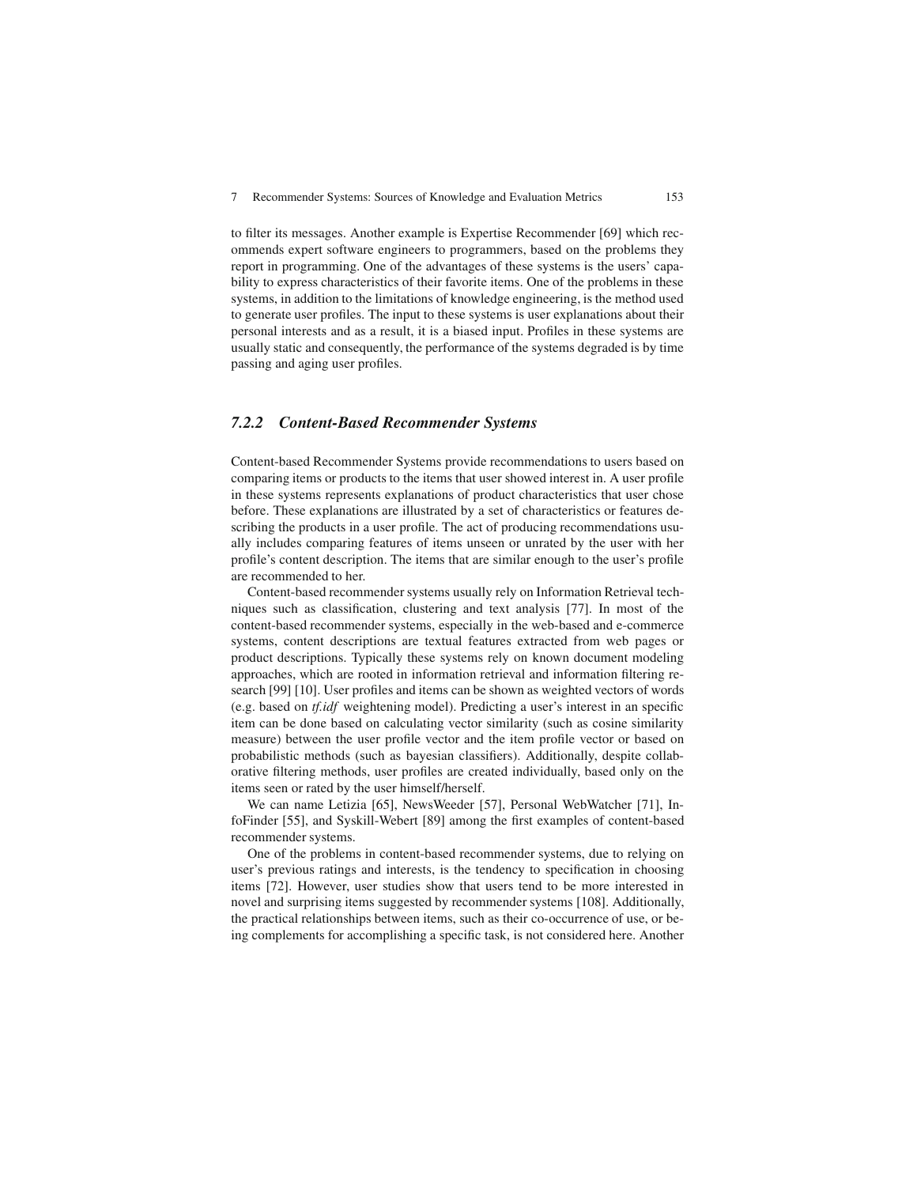to filter its messages. Another example is Expertise Recommender [69] which recommends expert software engineers to programmers, based on the problems they report in programming. One of the advantages of these systems is the users' capability to express characteristics of their favorite items. One of the problems in these systems, in addition to the limitations of knowledge engineering, is the method used to generate user profiles. The input to these systems is user explanations about their personal interests and as a result, it is a biased input. Profiles in these systems are usually static and consequently, the performance of the systems degraded is by time passing and aging user profiles.

#### *7.2.2 Content-Based Recommender Systems*

Content-based Recommender Systems provide recommendations to users based on comparing items or products to the items that user showed interest in. A user profile in these systems represents explanations of product characteristics that user chose before. These explanations are illustrated by a set of characteristics or features describing the products in a user profile. The act of producing recommendations usually includes comparing features of items unseen or unrated by the user with her profile's content description. The items that are similar enough to the user's profile are recommended to her.

Content-based recommender systems usually rely on Information Retrieval techniques such as classification, clustering and text analysis [77]. In most of the content-based recommender systems, especially in the web-based and e-commerce systems, content descriptions are textual features extracted from web pages or product descriptions. Typically these systems rely on known document modeling approaches, which are rooted in information retrieval and information filtering research [99] [10]. User profiles and items can be shown as weighted vectors of words (e.g. based on *tf.idf* weightening model). Predicting a user's interest in an specific item can be done based on calculating vector similarity (such as cosine similarity measure) between the user profile vector and the item profile vector or based on probabilistic methods (such as bayesian classifiers). Additionally, despite collaborative filtering methods, user profiles are created individually, based only on the items seen or rated by the user himself/herself.

We can name Letizia [65], NewsWeeder [57], Personal WebWatcher [71], InfoFinder [55], and Syskill-Webert [89] among the first examples of content-based recommender systems.

One of the problems in content-based recommender systems, due to relying on user's previous ratings and interests, is the tendency to specification in choosing items [72]. However, user studies show that users tend to be more interested in novel and surprising items suggested by recommender systems [108]. Additionally, the practical relationships between items, such as their co-occurrence of use, or being complements for accomplishing a specific task, is not considered here. Another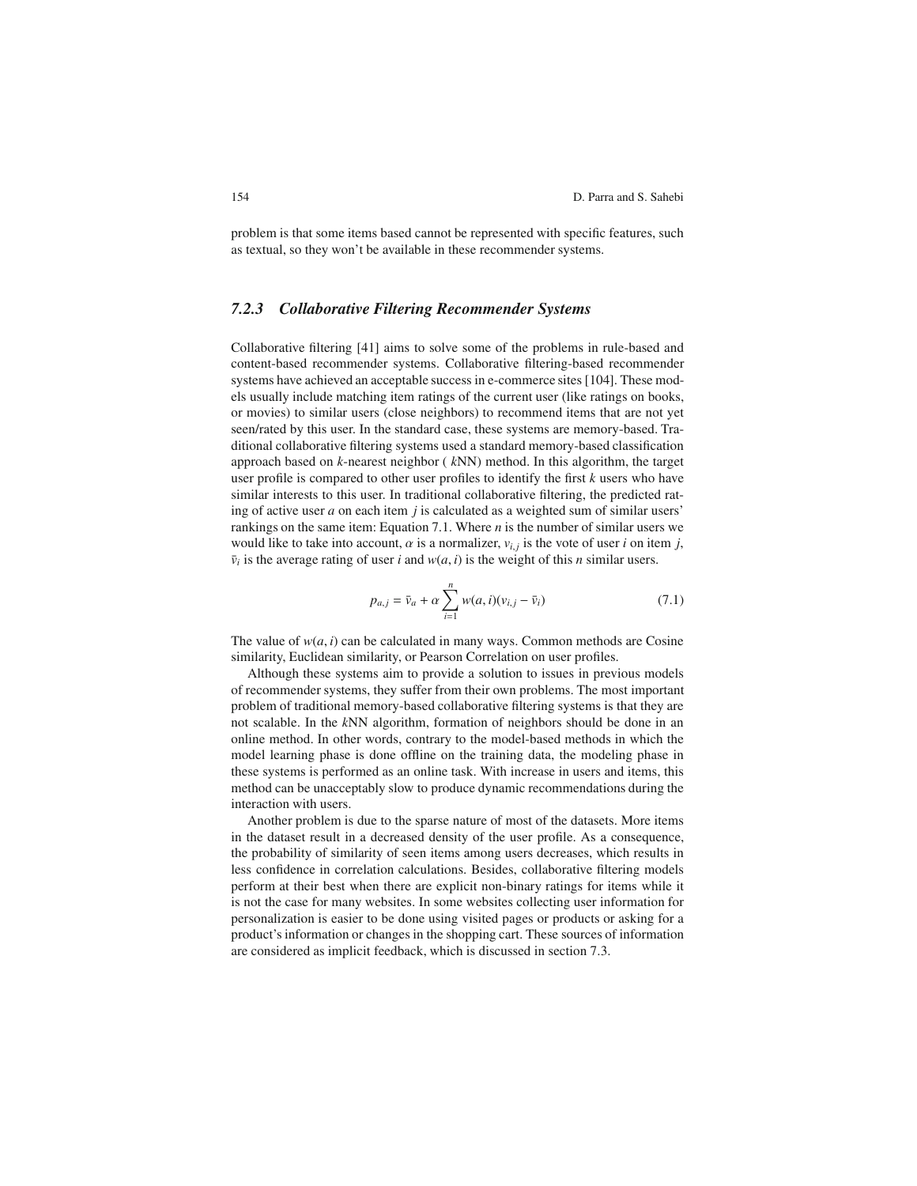problem is that some items based cannot be represented with specific features, such as textual, so they won't be available in these recommender systems.

#### *7.2.3 Collaborative Filtering Recommender Systems*

Collaborative filtering [41] aims to solve some of the problems in rule-based and content-based recommender systems. Collaborative filtering-based recommender systems have achieved an acceptable success in e-commerce sites [104]. These models usually include matching item ratings of the current user (like ratings on books, or movies) to similar users (close neighbors) to recommend items that are not yet seen/rated by this user. In the standard case, these systems are memory-based. Traditional collaborative filtering systems used a standard memory-based classification approach based on *k*-nearest neighbor ( *k*NN) method. In this algorithm, the target user profile is compared to other user profiles to identify the first *k* users who have similar interests to this user. In traditional collaborative filtering, the predicted rating of active user *a* on each item *j* is calculated as a weighted sum of similar users' rankings on the same item: Equation 7.1. Where *n* is the number of similar users we would like to take into account,  $\alpha$  is a normalizer,  $v_{i,j}$  is the vote of user *i* on item *j*,  $\bar{v}_i$  is the average rating of user *i* and  $w(a, i)$  is the weight of this *n* similar users.

$$
p_{a,j} = \bar{v}_a + \alpha \sum_{i=1}^{n} w(a,i)(v_{i,j} - \bar{v}_i)
$$
 (7.1)

The value of  $w(a, i)$  can be calculated in many ways. Common methods are Cosine similarity, Euclidean similarity, or Pearson Correlation on user profiles.

Although these systems aim to provide a solution to issues in previous models of recommender systems, they suffer from their own problems. The most important problem of traditional memory-based collaborative filtering systems is that they are not scalable. In the *k*NN algorithm, formation of neighbors should be done in an online method. In other words, contrary to the model-based methods in which the model learning phase is done offline on the training data, the modeling phase in these systems is performed as an online task. With increase in users and items, this method can be unacceptably slow to produce dynamic recommendations during the interaction with users.

Another problem is due to the sparse nature of most of the datasets. More items in the dataset result in a decreased density of the user profile. As a consequence, the probability of similarity of seen items among users decreases, which results in less confidence in correlation calculations. Besides, collaborative filtering models perform at their best when there are explicit non-binary ratings for items while it is not the case for many websites. In some websites collecting user information for personalization is easier to be done using visited pages or products or asking for a product's information or changes in the shopping cart. These sources of information are considered as implicit feedback, which is discussed in section 7.3.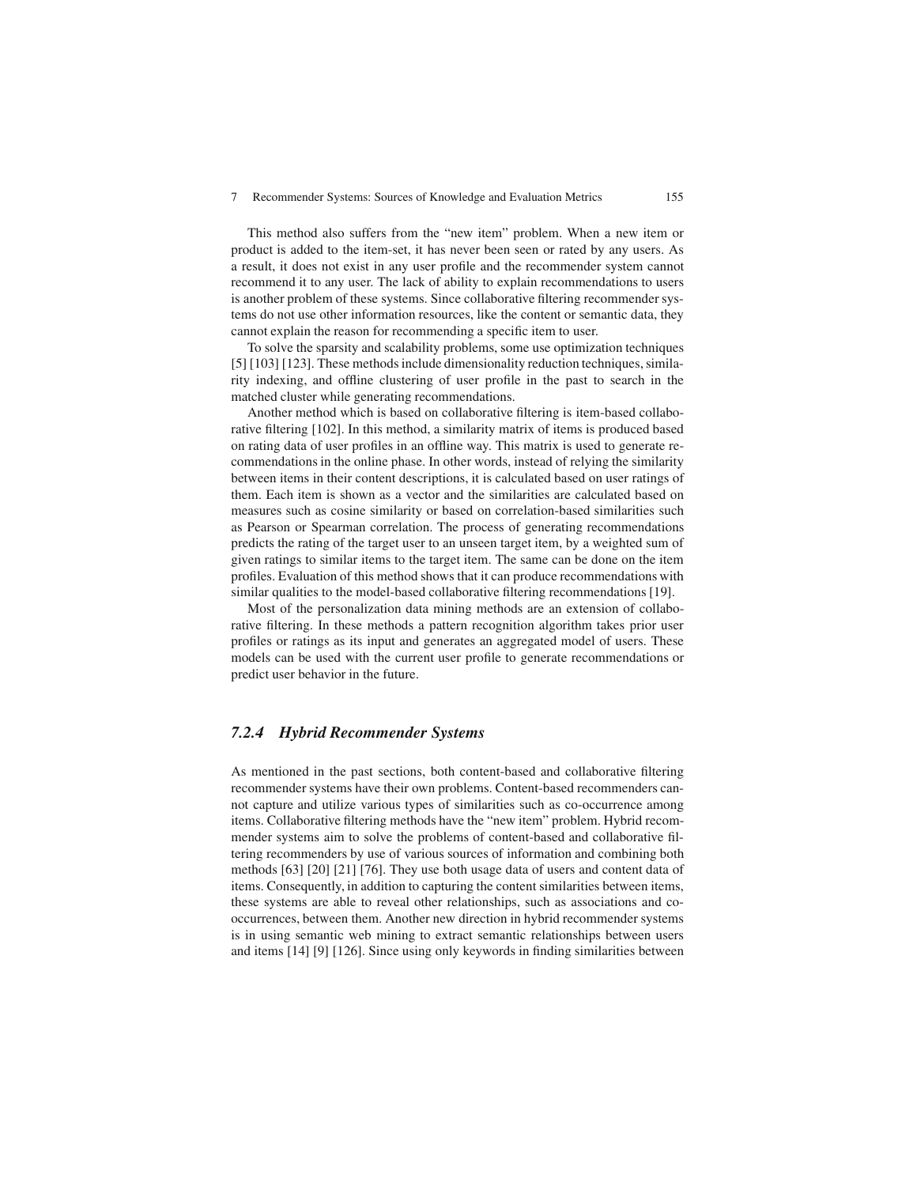#### Recommender Systems: Sources of Knowledge and Evaluation Metrics 155

This method also suffers from the "new item" problem. When a new item or product is added to the item-set, it has never been seen or rated by any users. As a result, it does not exist in any user profile and the recommender system cannot recommend it to any user. The lack of ability to explain recommendations to users is another problem of these systems. Since collaborative filtering recommender systems do not use other information resources, like the content or semantic data, they cannot explain the reason for recommending a specific item to user.

To solve the sparsity and scalability problems, some use optimization techniques [5] [103] [123]. These methods include dimensionality reduction techniques, similarity indexing, and offline clustering of user profile in the past to search in the matched cluster while generating recommendations.

Another method which is based on collaborative filtering is item-based collaborative filtering [102]. In this method, a similarity matrix of items is produced based on rating data of user profiles in an offline way. This matrix is used to generate recommendations in the online phase. In other words, instead of relying the similarity between items in their content descriptions, it is calculated based on user ratings of them. Each item is shown as a vector and the similarities are calculated based on measures such as cosine similarity or based on correlation-based similarities such as Pearson or Spearman correlation. The process of generating recommendations predicts the rating of the target user to an unseen target item, by a weighted sum of given ratings to similar items to the target item. The same can be done on the item profiles. Evaluation of this method shows that it can produce recommendations with similar qualities to the model-based collaborative filtering recommendations [19].

Most of the personalization data mining methods are an extension of collaborative filtering. In these methods a pattern recognition algorithm takes prior user profiles or ratings as its input and generates an aggregated model of users. These models can be used with the current user profile to generate recommendations or predict user behavior in the future.

# *7.2.4 Hybrid Recommender Systems*

As mentioned in the past sections, both content-based and collaborative filtering recommender systems have their own problems. Content-based recommenders cannot capture and utilize various types of similarities such as co-occurrence among items. Collaborative filtering methods have the "new item" problem. Hybrid recommender systems aim to solve the problems of content-based and collaborative filtering recommenders by use of various sources of information and combining both methods [63] [20] [21] [76]. They use both usage data of users and content data of items. Consequently, in addition to capturing the content similarities between items, these systems are able to reveal other relationships, such as associations and cooccurrences, between them. Another new direction in hybrid recommender systems is in using semantic web mining to extract semantic relationships between users and items [14] [9] [126]. Since using only keywords in finding similarities between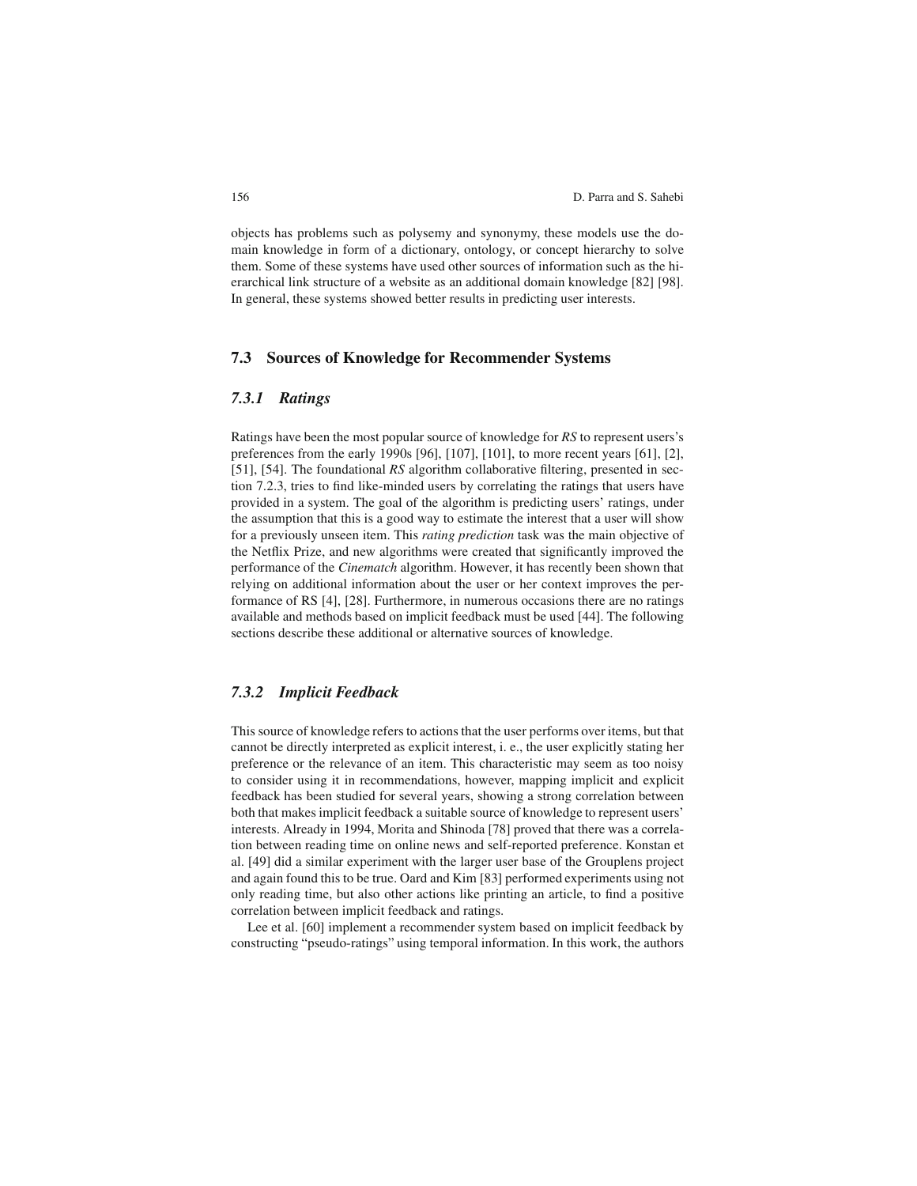objects has problems such as polysemy and synonymy, these models use the domain knowledge in form of a dictionary, ontology, or concept hierarchy to solve them. Some of these systems have used other sources of information such as the hierarchical link structure of a website as an additional domain knowledge [82] [98]. In general, these systems showed better results in predicting user interests.

# **7.3 Sources of Knowledge for Recommender Systems**

#### *7.3.1 Ratings*

Ratings have been the most popular source of knowledge for *RS* to represent users's preferences from the early 1990s [96], [107], [101], to more recent years [61], [2], [51], [54]. The foundational *RS* algorithm collaborative filtering, presented in section 7.2.3, tries to find like-minded users by correlating the ratings that users have provided in a system. The goal of the algorithm is predicting users' ratings, under the assumption that this is a good way to estimate the interest that a user will show for a previously unseen item. This *rating prediction* task was the main objective of the Netflix Prize, and new algorithms were created that significantly improved the performance of the *Cinematch* algorithm. However, it has recently been shown that relying on additional information about the user or her context improves the performance of RS [4], [28]. Furthermore, in numerous occasions there are no ratings available and methods based on implicit feedback must be used [44]. The following sections describe these additional or alternative sources of knowledge.

## *7.3.2 Implicit Feedback*

This source of knowledge refers to actions that the user performs over items, but that cannot be directly interpreted as explicit interest, i. e., the user explicitly stating her preference or the relevance of an item. This characteristic may seem as too noisy to consider using it in recommendations, however, mapping implicit and explicit feedback has been studied for several years, showing a strong correlation between both that makes implicit feedback a suitable source of knowledge to represent users' interests. Already in 1994, Morita and Shinoda [78] proved that there was a correlation between reading time on online news and self-reported preference. Konstan et al. [49] did a similar experiment with the larger user base of the Grouplens project and again found this to be true. Oard and Kim [83] performed experiments using not only reading time, but also other actions like printing an article, to find a positive correlation between implicit feedback and ratings.

Lee et al. [60] implement a recommender system based on implicit feedback by constructing "pseudo-ratings" using temporal information. In this work, the authors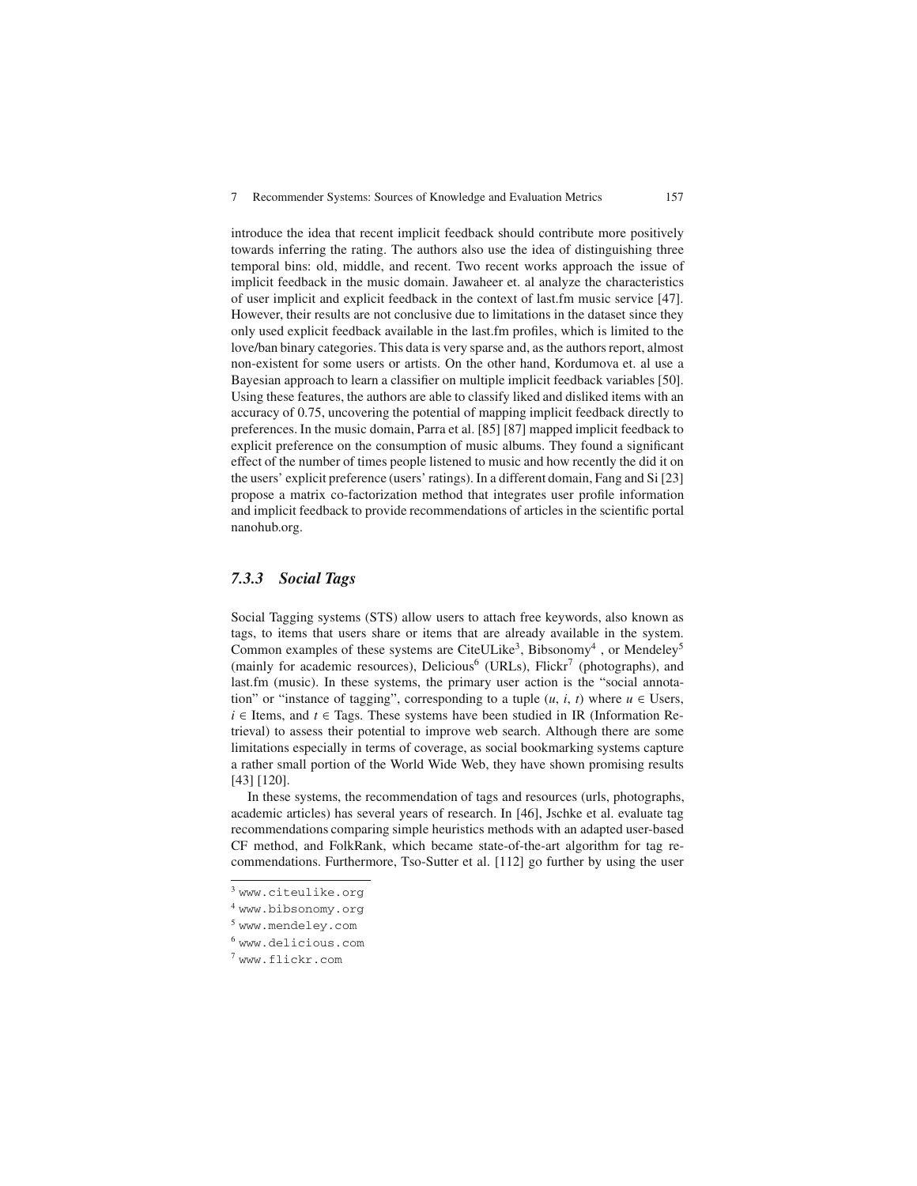introduce the idea that recent implicit feedback should contribute more positively towards inferring the rating. The authors also use the idea of distinguishing three temporal bins: old, middle, and recent. Two recent works approach the issue of implicit feedback in the music domain. Jawaheer et. al analyze the characteristics of user implicit and explicit feedback in the context of last.fm music service [47]. However, their results are not conclusive due to limitations in the dataset since they only used explicit feedback available in the last.fm profiles, which is limited to the love/ban binary categories. This data is very sparse and, as the authors report, almost non-existent for some users or artists. On the other hand, Kordumova et. al use a Bayesian approach to learn a classifier on multiple implicit feedback variables [50]. Using these features, the authors are able to classify liked and disliked items with an accuracy of 0.75, uncovering the potential of mapping implicit feedback directly to preferences. In the music domain, Parra et al. [85] [87] mapped implicit feedback to explicit preference on the consumption of music albums. They found a significant effect of the number of times people listened to music and how recently the did it on the users' explicit preference (users' ratings). In a different domain, Fang and Si [23] propose a matrix co-factorization method that integrates user profile information and implicit feedback to provide recommendations of articles in the scientific portal nanohub.org.

# *7.3.3 Social Tags*

Social Tagging systems (STS) allow users to attach free keywords, also known as tags, to items that users share or items that are already available in the system. Common examples of these systems are CiteULike<sup>3</sup>, Bibsonomy<sup>4</sup>, or Mendeley<sup>5</sup> (mainly for academic resources), Delicious<sup>6</sup> (URLs), Flickr<sup>7</sup> (photographs), and last.fm (music). In these systems, the primary user action is the "social annotation" or "instance of tagging", corresponding to a tuple  $(u, i, t)$  where  $u \in \text{Users}$ , *i* ∈ Items, and *t* ∈ Tags. These systems have been studied in IR (Information Retrieval) to assess their potential to improve web search. Although there are some limitations especially in terms of coverage, as social bookmarking systems capture a rather small portion of the World Wide Web, they have shown promising results [43] [120].

In these systems, the recommendation of tags and resources (urls, photographs, academic articles) has several years of research. In [46], Jschke et al. evaluate tag recommendations comparing simple heuristics methods with an adapted user-based CF method, and FolkRank, which became state-of-the-art algorithm for tag recommendations. Furthermore, Tso-Sutter et al. [112] go further by using the user

<sup>3</sup> www.citeulike.org

<sup>4</sup> www.bibsonomy.org

<sup>5</sup> www.mendeley.com

<sup>6</sup> www.delicious.com

<sup>7</sup> www.flickr.com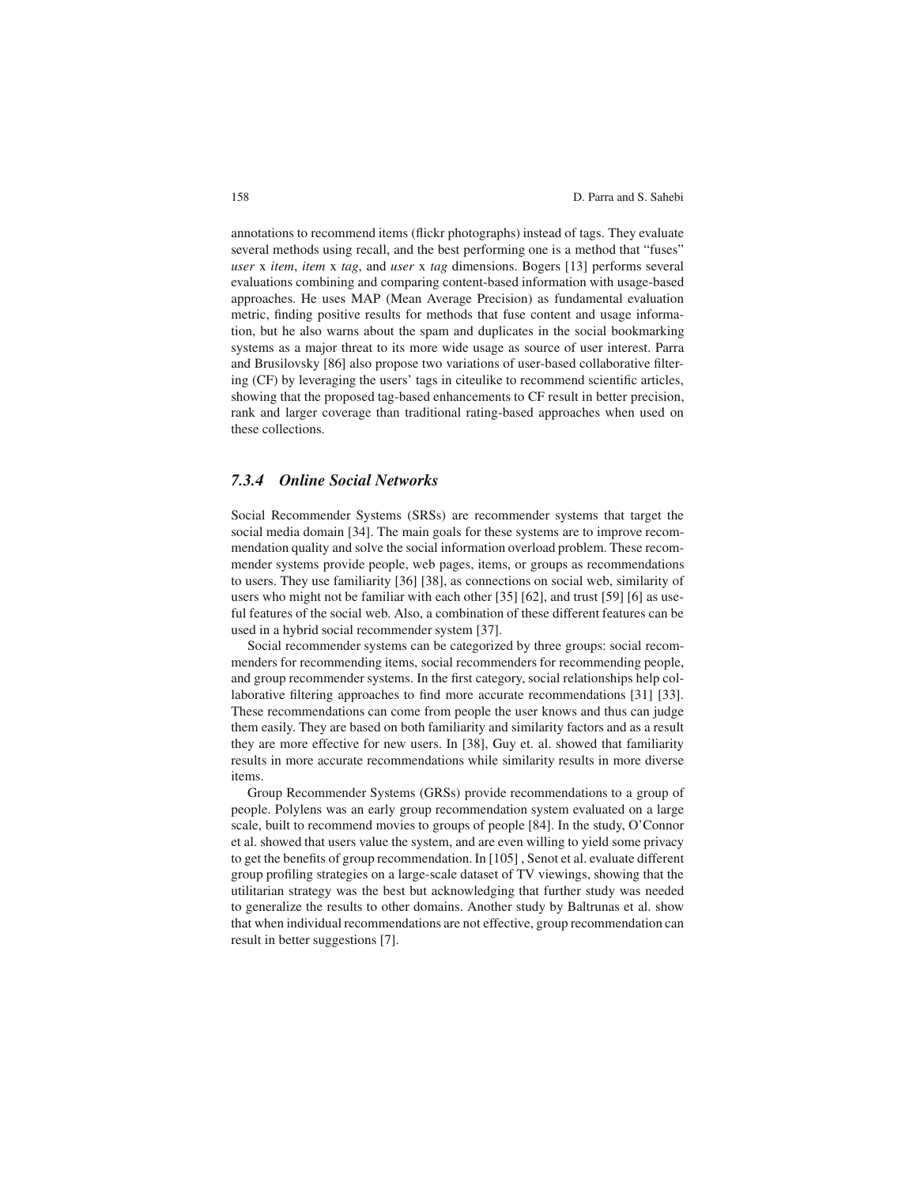annotations to recommend items (flickr photographs) instead of tags. They evaluate several methods using recall, and the best performing one is a method that "fuses" *user* x *item*, *item* x *tag*, and *user* x *tag* dimensions. Bogers [13] performs several evaluations combining and comparing content-based information with usage-based approaches. He uses MAP (Mean Average Precision) as fundamental evaluation metric, finding positive results for methods that fuse content and usage information, but he also warns about the spam and duplicates in the social bookmarking systems as a major threat to its more wide usage as source of user interest. Parra and Brusilovsky [86] also propose two variations of user-based collaborative filtering (CF) by leveraging the users' tags in citeulike to recommend scientific articles, showing that the proposed tag-based enhancements to CF result in better precision, rank and larger coverage than traditional rating-based approaches when used on these collections.

## *7.3.4 Online Social Networks*

Social Recommender Systems (SRSs) are recommender systems that target the social media domain [34]. The main goals for these systems are to improve recommendation quality and solve the social information overload problem. These recommender systems provide people, web pages, items, or groups as recommendations to users. They use familiarity [36] [38], as connections on social web, similarity of users who might not be familiar with each other [35] [62], and trust [59] [6] as useful features of the social web. Also, a combination of these different features can be used in a hybrid social recommender system [37].

Social recommender systems can be categorized by three groups: social recommenders for recommending items, social recommenders for recommending people, and group recommender systems. In the first category, social relationships help collaborative filtering approaches to find more accurate recommendations [31] [33]. These recommendations can come from people the user knows and thus can judge them easily. They are based on both familiarity and similarity factors and as a result they are more effective for new users. In [38], Guy et. al. showed that familiarity results in more accurate recommendations while similarity results in more diverse items.

Group Recommender Systems (GRSs) provide recommendations to a group of people. Polylens was an early group recommendation system evaluated on a large scale, built to recommend movies to groups of people [84]. In the study, O'Connor et al. showed that users value the system, and are even willing to yield some privacy to get the benefits of group recommendation. In [105] , Senot et al. evaluate different group profiling strategies on a large-scale dataset of TV viewings, showing that the utilitarian strategy was the best but acknowledging that further study was needed to generalize the results to other domains. Another study by Baltrunas et al. show that when individual recommendations are not effective, group recommendation can result in better suggestions [7].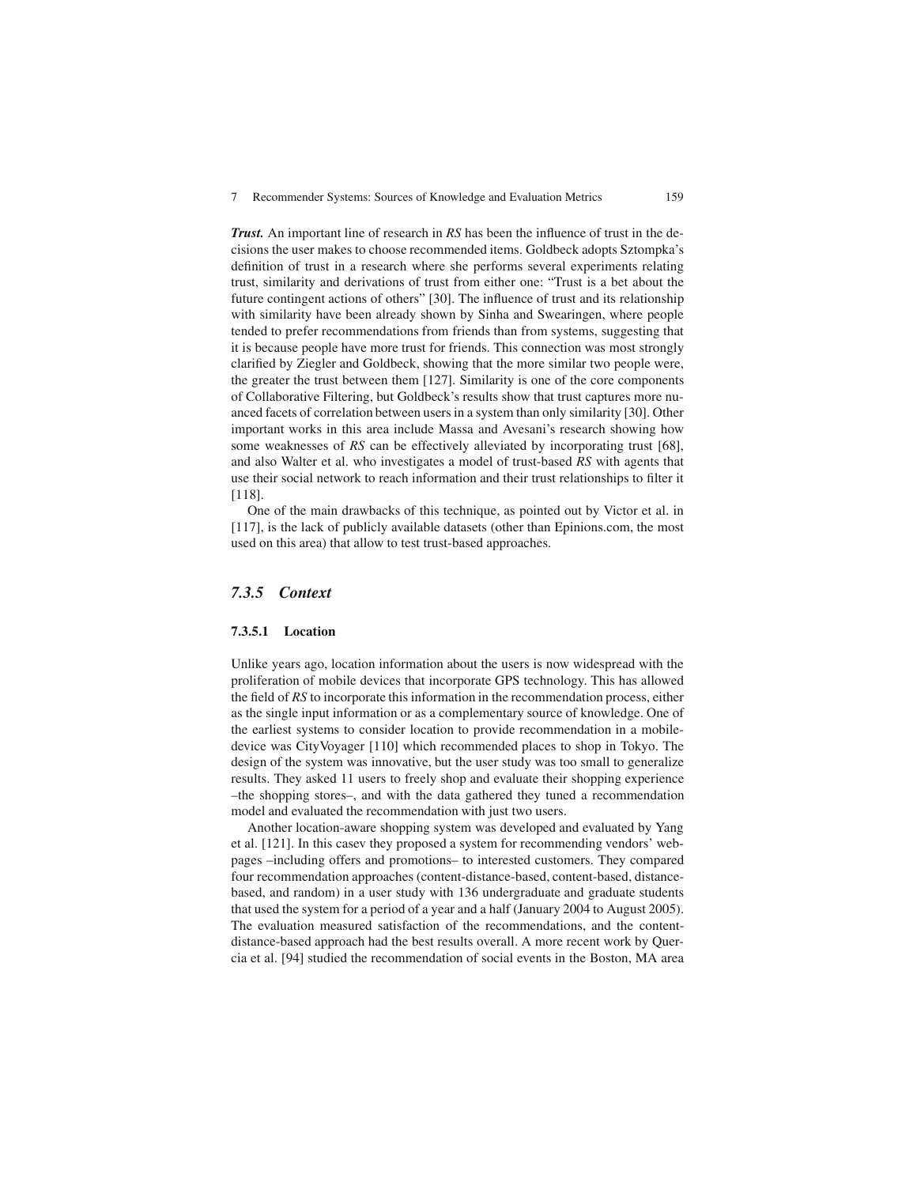*Trust.* An important line of research in *RS* has been the influence of trust in the decisions the user makes to choose recommended items. Goldbeck adopts Sztompka's definition of trust in a research where she performs several experiments relating trust, similarity and derivations of trust from either one: "Trust is a bet about the future contingent actions of others" [30]. The influence of trust and its relationship with similarity have been already shown by Sinha and Swearingen, where people tended to prefer recommendations from friends than from systems, suggesting that it is because people have more trust for friends. This connection was most strongly clarified by Ziegler and Goldbeck, showing that the more similar two people were, the greater the trust between them [127]. Similarity is one of the core components of Collaborative Filtering, but Goldbeck's results show that trust captures more nuanced facets of correlation between users in a system than only similarity [30]. Other important works in this area include Massa and Avesani's research showing how some weaknesses of *RS* can be effectively alleviated by incorporating trust [68], and also Walter et al. who investigates a model of trust-based *RS* with agents that use their social network to reach information and their trust relationships to filter it [118].

One of the main drawbacks of this technique, as pointed out by Victor et al. in [117], is the lack of publicly available datasets (other than Epinions.com, the most used on this area) that allow to test trust-based approaches.

## *7.3.5 Context*

#### **7.3.5.1 Location**

Unlike years ago, location information about the users is now widespread with the proliferation of mobile devices that incorporate GPS technology. This has allowed the field of *RS* to incorporate this information in the recommendation process, either as the single input information or as a complementary source of knowledge. One of the earliest systems to consider location to provide recommendation in a mobiledevice was CityVoyager [110] which recommended places to shop in Tokyo. The design of the system was innovative, but the user study was too small to generalize results. They asked 11 users to freely shop and evaluate their shopping experience –the shopping stores–, and with the data gathered they tuned a recommendation model and evaluated the recommendation with just two users.

Another location-aware shopping system was developed and evaluated by Yang et al. [121]. In this casev they proposed a system for recommending vendors' webpages –including offers and promotions– to interested customers. They compared four recommendation approaches (content-distance-based, content-based, distancebased, and random) in a user study with 136 undergraduate and graduate students that used the system for a period of a year and a half (January 2004 to August 2005). The evaluation measured satisfaction of the recommendations, and the contentdistance-based approach had the best results overall. A more recent work by Quercia et al. [94] studied the recommendation of social events in the Boston, MA area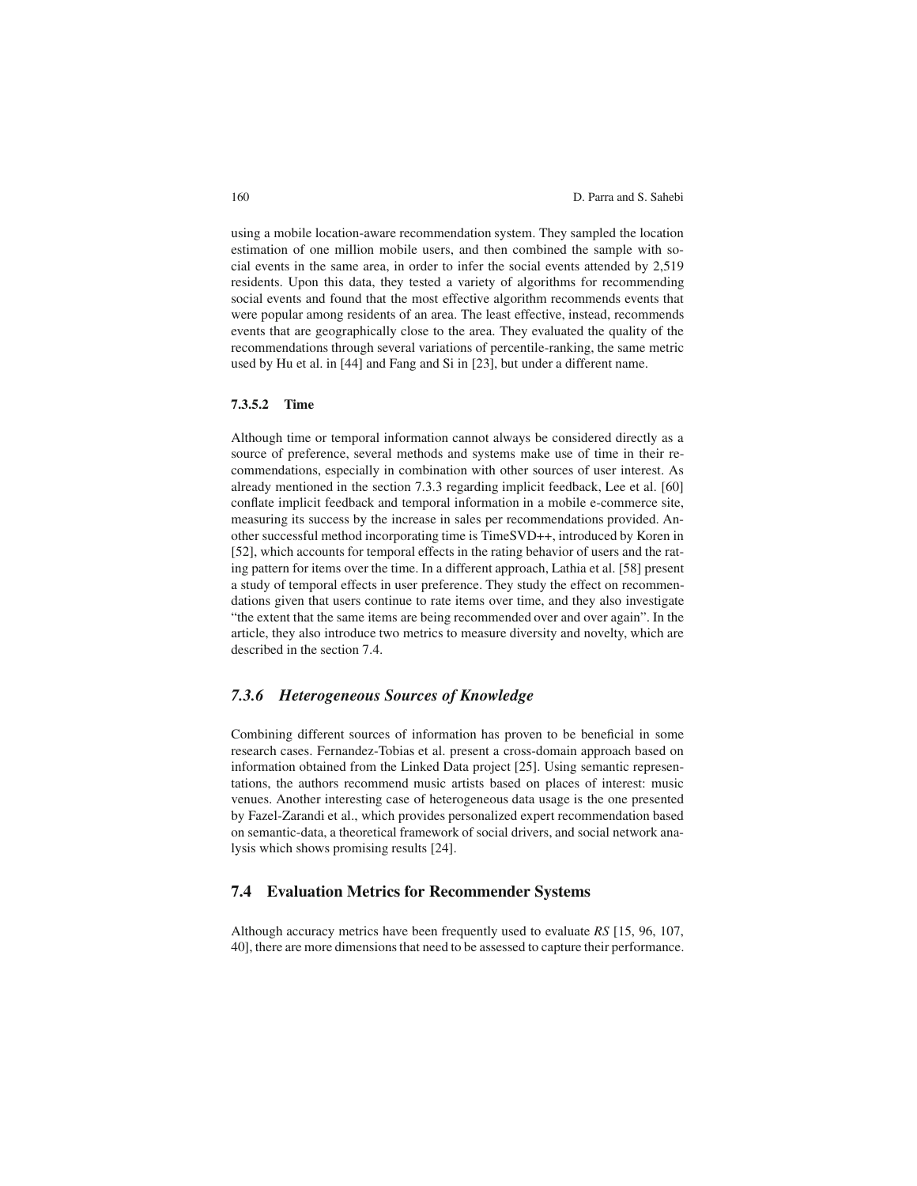using a mobile location-aware recommendation system. They sampled the location estimation of one million mobile users, and then combined the sample with social events in the same area, in order to infer the social events attended by 2,519 residents. Upon this data, they tested a variety of algorithms for recommending social events and found that the most effective algorithm recommends events that were popular among residents of an area. The least effective, instead, recommends events that are geographically close to the area. They evaluated the quality of the recommendations through several variations of percentile-ranking, the same metric used by Hu et al. in [44] and Fang and Si in [23], but under a different name.

#### **7.3.5.2 Time**

Although time or temporal information cannot always be considered directly as a source of preference, several methods and systems make use of time in their recommendations, especially in combination with other sources of user interest. As already mentioned in the section 7.3.3 regarding implicit feedback, Lee et al. [60] conflate implicit feedback and temporal information in a mobile e-commerce site, measuring its success by the increase in sales per recommendations provided. Another successful method incorporating time is TimeSVD++, introduced by Koren in [52], which accounts for temporal effects in the rating behavior of users and the rating pattern for items over the time. In a different approach, Lathia et al. [58] present a study of temporal effects in user preference. They study the effect on recommendations given that users continue to rate items over time, and they also investigate "the extent that the same items are being recommended over and over again". In the article, they also introduce two metrics to measure diversity and novelty, which are described in the section 7.4.

## *7.3.6 Heterogeneous Sources of Knowledge*

Combining different sources of information has proven to be beneficial in some research cases. Fernandez-Tobias et al. present a cross-domain approach based on information obtained from the Linked Data project [25]. Using semantic representations, the authors recommend music artists based on places of interest: music venues. Another interesting case of heterogeneous data usage is the one presented by Fazel-Zarandi et al., which provides personalized expert recommendation based on semantic-data, a theoretical framework of social drivers, and social network analysis which shows promising results [24].

#### **7.4 Evaluation Metrics for Recommender Systems**

Although accuracy metrics have been frequently used to evaluate *RS* [15, 96, 107, 40], there are more dimensions that need to be assessed to capture their performance.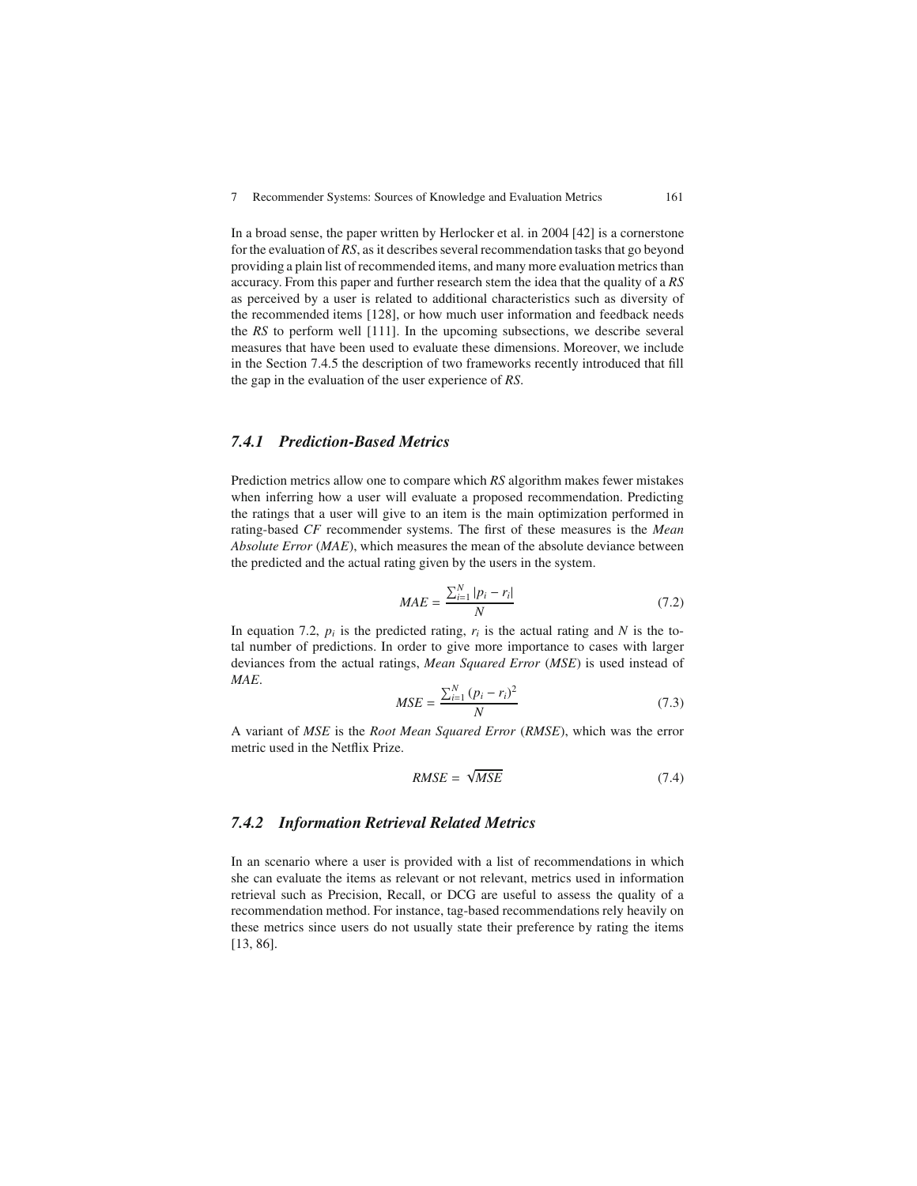In a broad sense, the paper written by Herlocker et al. in 2004 [42] is a cornerstone for the evaluation of *RS*, as it describes several recommendation tasks that go beyond providing a plain list of recommended items, and many more evaluation metrics than accuracy. From this paper and further research stem the idea that the quality of a *RS* as perceived by a user is related to additional characteristics such as diversity of the recommended items [128], or how much user information and feedback needs the *RS* to perform well [111]. In the upcoming subsections, we describe several measures that have been used to evaluate these dimensions. Moreover, we include in the Section 7.4.5 the description of two frameworks recently introduced that fill the gap in the evaluation of the user experience of *RS*.

## *7.4.1 Prediction-Based Metrics*

Prediction metrics allow one to compare which *RS* algorithm makes fewer mistakes when inferring how a user will evaluate a proposed recommendation. Predicting the ratings that a user will give to an item is the main optimization performed in rating-based *CF* recommender systems. The first of these measures is the *Mean Absolute Error* (*MAE*), which measures the mean of the absolute deviance between the predicted and the actual rating given by the users in the system.

$$
MAE = \frac{\sum_{i=1}^{N} |p_i - r_i|}{N}
$$
\n(7.2)

In equation 7.2,  $p_i$  is the predicted rating,  $r_i$  is the actual rating and N is the total number of predictions. In order to give more importance to cases with larger deviances from the actual ratings, *Mean Squared Error* (*MSE*) is used instead of *MAE*.

$$
MSE = \frac{\sum_{i=1}^{N} (p_i - r_i)^2}{N}
$$
 (7.3)

A variant of *MSE* is the *Root Mean Squared Error* (*RMSE*), which was the error metric used in the Netflix Prize.

$$
RMSE = \sqrt{MSE} \tag{7.4}
$$

## *7.4.2 Information Retrieval Related Metrics*

In an scenario where a user is provided with a list of recommendations in which she can evaluate the items as relevant or not relevant, metrics used in information retrieval such as Precision, Recall, or DCG are useful to assess the quality of a recommendation method. For instance, tag-based recommendations rely heavily on these metrics since users do not usually state their preference by rating the items [13, 86].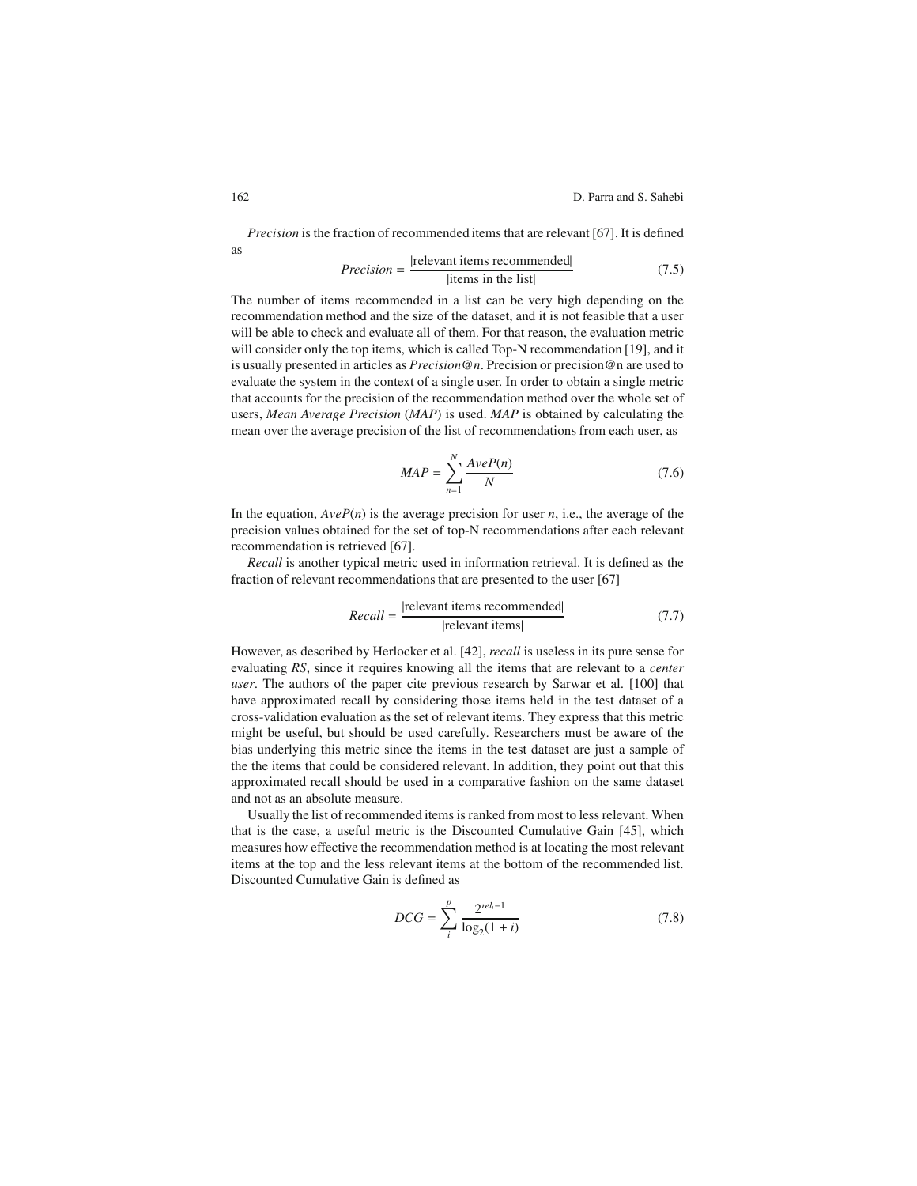*Precision* is the fraction of recommended items that are relevant [67]. It is defined

$$
Precision = \frac{|\text{relevant items recommended}|}{|\text{items in the list}|}
$$
(7.5)

The number of items recommended in a list can be very high depending on the recommendation method and the size of the dataset, and it is not feasible that a user will be able to check and evaluate all of them. For that reason, the evaluation metric will consider only the top items, which is called Top-N recommendation [19], and it is usually presented in articles as *Precision@n*. Precision or precision@n are used to evaluate the system in the context of a single user. In order to obtain a single metric that accounts for the precision of the recommendation method over the whole set of users, *Mean Average Precision* (*MAP*) is used. *MAP* is obtained by calculating the mean over the average precision of the list of recommendations from each user, as

$$
MAP = \sum_{n=1}^{N} \frac{AveP(n)}{N}
$$
 (7.6)

In the equation, *AveP*(*n*) is the average precision for user *n*, i.e., the average of the precision values obtained for the set of top-N recommendations after each relevant recommendation is retrieved [67].

*Recall* is another typical metric used in information retrieval. It is defined as the fraction of relevant recommendations that are presented to the user [67]

$$
Recall = \frac{|\text{relevant items recommended}|}{|\text{relevant items}|}
$$
 (7.7)

However, as described by Herlocker et al. [42], *recall* is useless in its pure sense for evaluating *RS*, since it requires knowing all the items that are relevant to a *center user*. The authors of the paper cite previous research by Sarwar et al. [100] that have approximated recall by considering those items held in the test dataset of a cross-validation evaluation as the set of relevant items. They express that this metric might be useful, but should be used carefully. Researchers must be aware of the bias underlying this metric since the items in the test dataset are just a sample of the the items that could be considered relevant. In addition, they point out that this approximated recall should be used in a comparative fashion on the same dataset and not as an absolute measure.

Usually the list of recommended items is ranked from most to less relevant. When that is the case, a useful metric is the Discounted Cumulative Gain [45], which measures how effective the recommendation method is at locating the most relevant items at the top and the less relevant items at the bottom of the recommended list. Discounted Cumulative Gain is defined as

$$
DCG = \sum_{i}^{p} \frac{2^{rel_i - 1}}{\log_2(1 + i)}
$$
(7.8)

as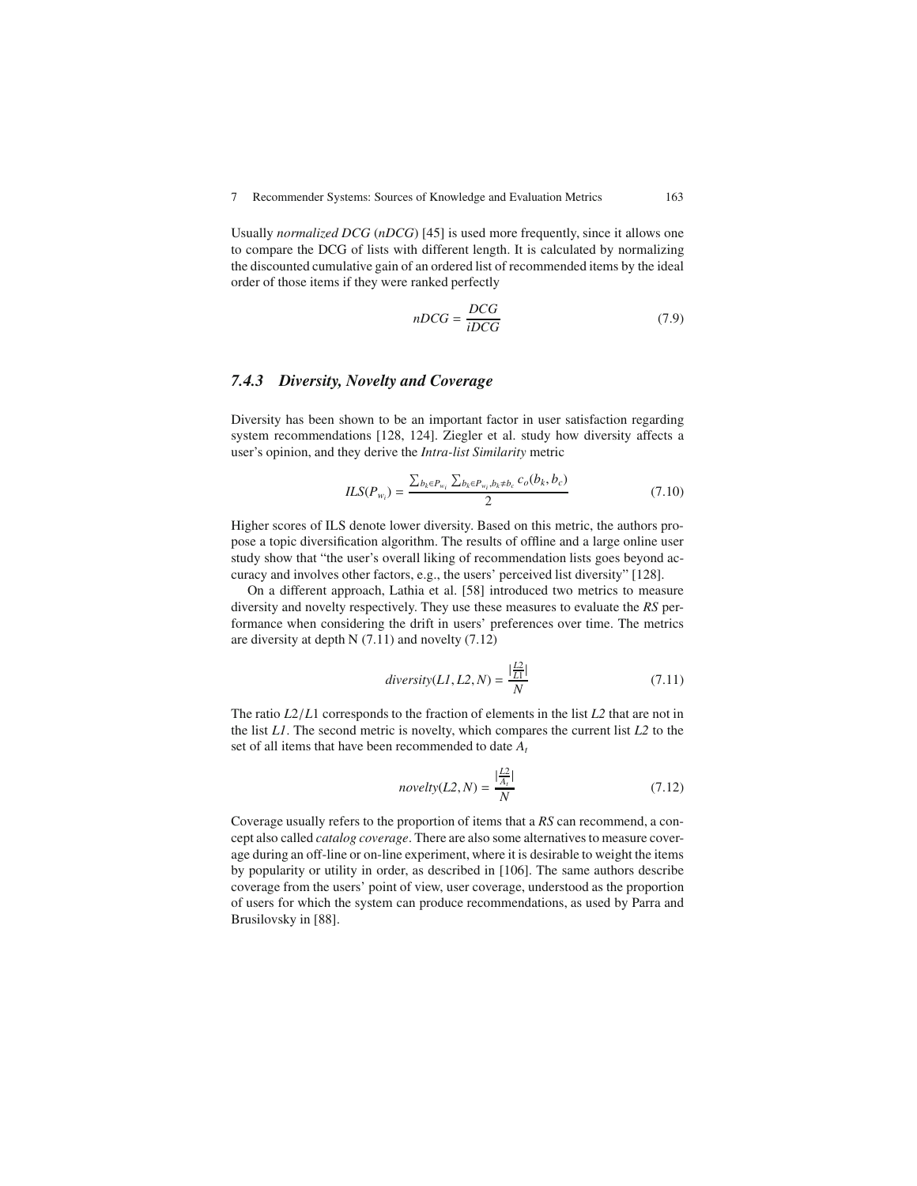#### 7 Recommender Systems: Sources of Knowledge and Evaluation Metrics 163

Usually *normalized DCG* (*nDCG*) [45] is used more frequently, since it allows one to compare the DCG of lists with different length. It is calculated by normalizing the discounted cumulative gain of an ordered list of recommended items by the ideal order of those items if they were ranked perfectly

$$
nDCG = \frac{DCG}{iDCG} \tag{7.9}
$$

# *7.4.3 Diversity, Novelty and Coverage*

Diversity has been shown to be an important factor in user satisfaction regarding system recommendations [128, 124]. Ziegler et al. study how diversity affects a user's opinion, and they derive the *Intra-list Similarity* metric

$$
ILS(P_{w_i}) = \frac{\sum_{b_k \in P_{w_i}} \sum_{b_k \in P_{w_i}, b_k \neq b_c} c_o(b_k, b_c)}{2}
$$
(7.10)

Higher scores of ILS denote lower diversity. Based on this metric, the authors propose a topic diversification algorithm. The results of offline and a large online user study show that "the user's overall liking of recommendation lists goes beyond accuracy and involves other factors, e.g., the users' perceived list diversity" [128].

On a different approach, Lathia et al. [58] introduced two metrics to measure diversity and novelty respectively. They use these measures to evaluate the *RS* performance when considering the drift in users' preferences over time. The metrics are diversity at depth N (7.11) and novelty (7.12)

$$
diversity(L1, L2, N) = \frac{|L2|}{N}
$$
\n(7.11)

The ratio *L*2/*L*1 corresponds to the fraction of elements in the list *L2* that are not in the list *L1*. The second metric is novelty, which compares the current list *L2* to the set of all items that have been recommended to date *At*

$$
novelty(L2, N) = \frac{|\frac{L2}{A_t}|}{N}
$$
\n(7.12)

Coverage usually refers to the proportion of items that a *RS* can recommend, a concept also called *catalog coverage*. There are also some alternatives to measure coverage during an off-line or on-line experiment, where it is desirable to weight the items by popularity or utility in order, as described in [106]. The same authors describe coverage from the users' point of view, user coverage, understood as the proportion of users for which the system can produce recommendations, as used by Parra and Brusilovsky in [88].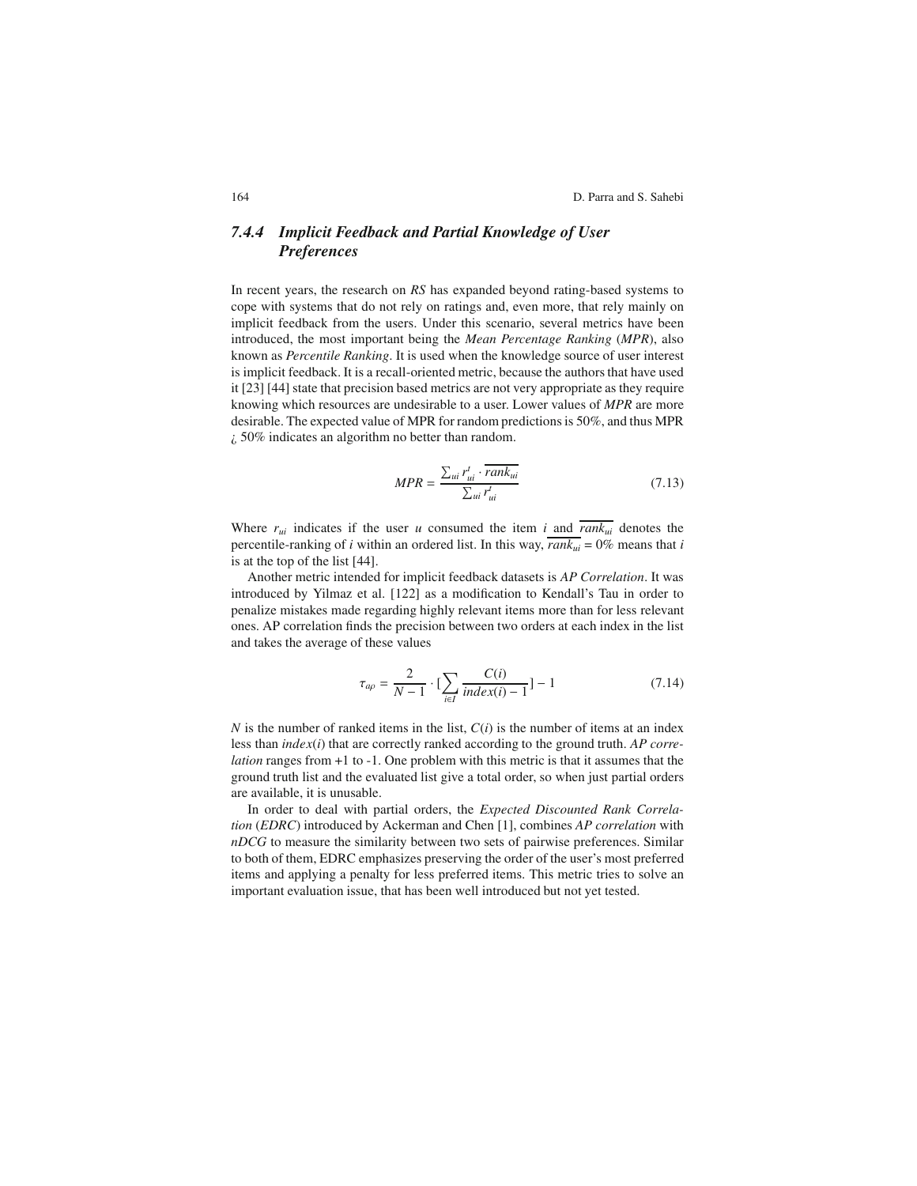# *7.4.4 Implicit Feedback and Partial Knowledge of User Preferences*

In recent years, the research on *RS* has expanded beyond rating-based systems to cope with systems that do not rely on ratings and, even more, that rely mainly on implicit feedback from the users. Under this scenario, several metrics have been introduced, the most important being the *Mean Percentage Ranking* (*MPR*), also known as *Percentile Ranking*. It is used when the knowledge source of user interest is implicit feedback. It is a recall-oriented metric, because the authors that have used it [23] [44] state that precision based metrics are not very appropriate as they require knowing which resources are undesirable to a user. Lower values of *MPR* are more desirable. The expected value of MPR for random predictions is 50%, and thus MPR  $\zeta$  50% indicates an algorithm no better than random.

$$
MPR = \frac{\sum_{ui} r_{ui}^t \cdot \overline{rank_{ui}}}{\sum_{ui} r_{ui}^t} \tag{7.13}
$$

Where  $r_{ui}$  indicates if the user *u* consumed the item *i* and  $\overline{rank_{ui}}$  denotes the percentile-ranking of *i* within an ordered list. In this way,  $\overline{rank_{ui}} = 0\%$  means that *i* is at the top of the list [44].

Another metric intended for implicit feedback datasets is *AP Correlation*. It was introduced by Yilmaz et al. [122] as a modification to Kendall's Tau in order to penalize mistakes made regarding highly relevant items more than for less relevant ones. AP correlation finds the precision between two orders at each index in the list and takes the average of these values

$$
\tau_{a\rho} = \frac{2}{N-1} \cdot \left[ \sum_{i \in I} \frac{C(i)}{index(i) - 1} \right] - 1 \tag{7.14}
$$

*N* is the number of ranked items in the list,  $C(i)$  is the number of items at an index less than *index*(*i*) that are correctly ranked according to the ground truth. *AP correlation* ranges from +1 to -1. One problem with this metric is that it assumes that the ground truth list and the evaluated list give a total order, so when just partial orders are available, it is unusable.

In order to deal with partial orders, the *Expected Discounted Rank Correlation* (*EDRC*) introduced by Ackerman and Chen [1], combines *AP correlation* with *nDCG* to measure the similarity between two sets of pairwise preferences. Similar to both of them, EDRC emphasizes preserving the order of the user's most preferred items and applying a penalty for less preferred items. This metric tries to solve an important evaluation issue, that has been well introduced but not yet tested.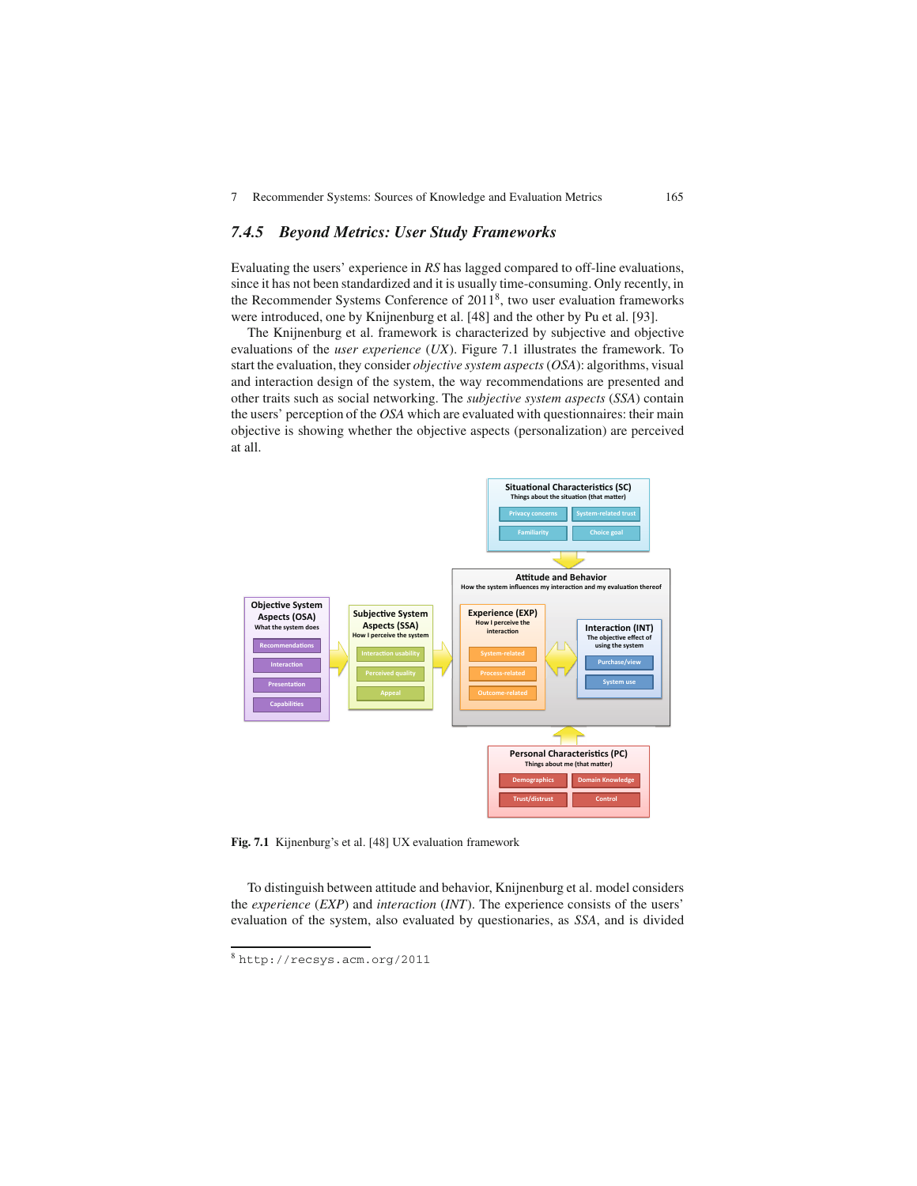## *7.4.5 Beyond Metrics: User Study Frameworks*

Evaluating the users' experience in *RS* has lagged compared to off-line evaluations, since it has not been standardized and it is usually time-consuming. Only recently, in the Recommender Systems Conference of 20118, two user evaluation frameworks were introduced, one by Knijnenburg et al. [48] and the other by Pu et al. [93].

The Knijnenburg et al. framework is characterized by subjective and objective evaluations of the *user experience* (*UX*). Figure 7.1 illustrates the framework. To start the evaluation, they consider *objective system aspects*(*OSA*): algorithms, visual and interaction design of the system, the way recommendations are presented and other traits such as social networking. The *subjective system aspects* (*SSA*) contain the users' perception of the *OSA* which are evaluated with questionnaires: their main objective is showing whether the objective aspects (personalization) are perceived at all.



**Fig. 7.1** Kijnenburg's et al. [48] UX evaluation framework

To distinguish between attitude and behavior, Knijnenburg et al. model considers the *experience* (*EXP*) and *interaction* (*INT*). The experience consists of the users' evaluation of the system, also evaluated by questionaries, as *SSA*, and is divided

<sup>8</sup> http://recsys.acm.org/2011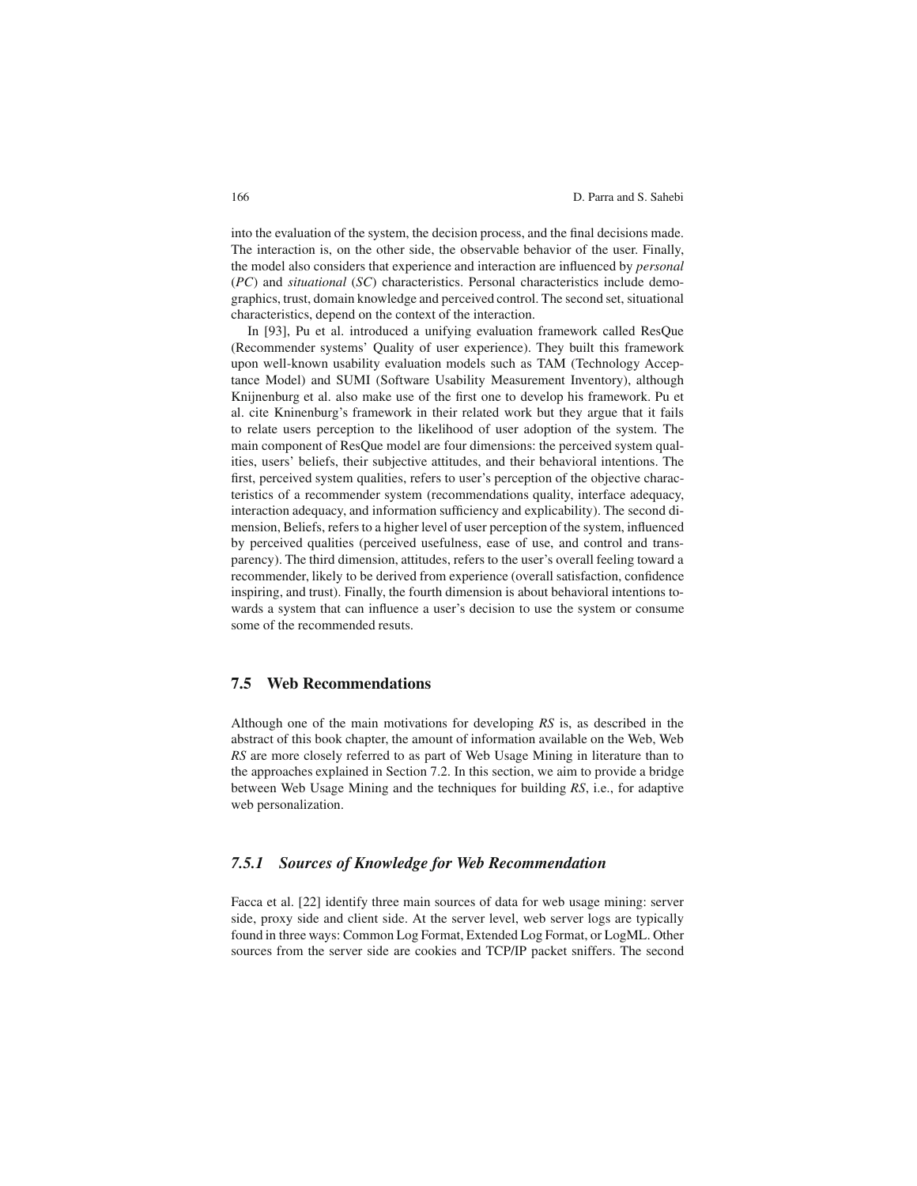into the evaluation of the system, the decision process, and the final decisions made. The interaction is, on the other side, the observable behavior of the user. Finally, the model also considers that experience and interaction are influenced by *personal* (*PC*) and *situational* (*SC*) characteristics. Personal characteristics include demographics, trust, domain knowledge and perceived control. The second set, situational characteristics, depend on the context of the interaction.

In [93], Pu et al. introduced a unifying evaluation framework called ResQue (Recommender systems' Quality of user experience). They built this framework upon well-known usability evaluation models such as TAM (Technology Acceptance Model) and SUMI (Software Usability Measurement Inventory), although Knijnenburg et al. also make use of the first one to develop his framework. Pu et al. cite Kninenburg's framework in their related work but they argue that it fails to relate users perception to the likelihood of user adoption of the system. The main component of ResQue model are four dimensions: the perceived system qualities, users' beliefs, their subjective attitudes, and their behavioral intentions. The first, perceived system qualities, refers to user's perception of the objective characteristics of a recommender system (recommendations quality, interface adequacy, interaction adequacy, and information sufficiency and explicability). The second dimension, Beliefs, refers to a higher level of user perception of the system, influenced by perceived qualities (perceived usefulness, ease of use, and control and transparency). The third dimension, attitudes, refers to the user's overall feeling toward a recommender, likely to be derived from experience (overall satisfaction, confidence inspiring, and trust). Finally, the fourth dimension is about behavioral intentions towards a system that can influence a user's decision to use the system or consume some of the recommended resuts.

# **7.5 Web Recommendations**

Although one of the main motivations for developing *RS* is, as described in the abstract of this book chapter, the amount of information available on the Web, Web *RS* are more closely referred to as part of Web Usage Mining in literature than to the approaches explained in Section 7.2. In this section, we aim to provide a bridge between Web Usage Mining and the techniques for building *RS*, i.e., for adaptive web personalization.

# *7.5.1 Sources of Knowledge for Web Recommendation*

Facca et al. [22] identify three main sources of data for web usage mining: server side, proxy side and client side. At the server level, web server logs are typically found in three ways: Common Log Format, Extended Log Format, or LogML. Other sources from the server side are cookies and TCP/IP packet sniffers. The second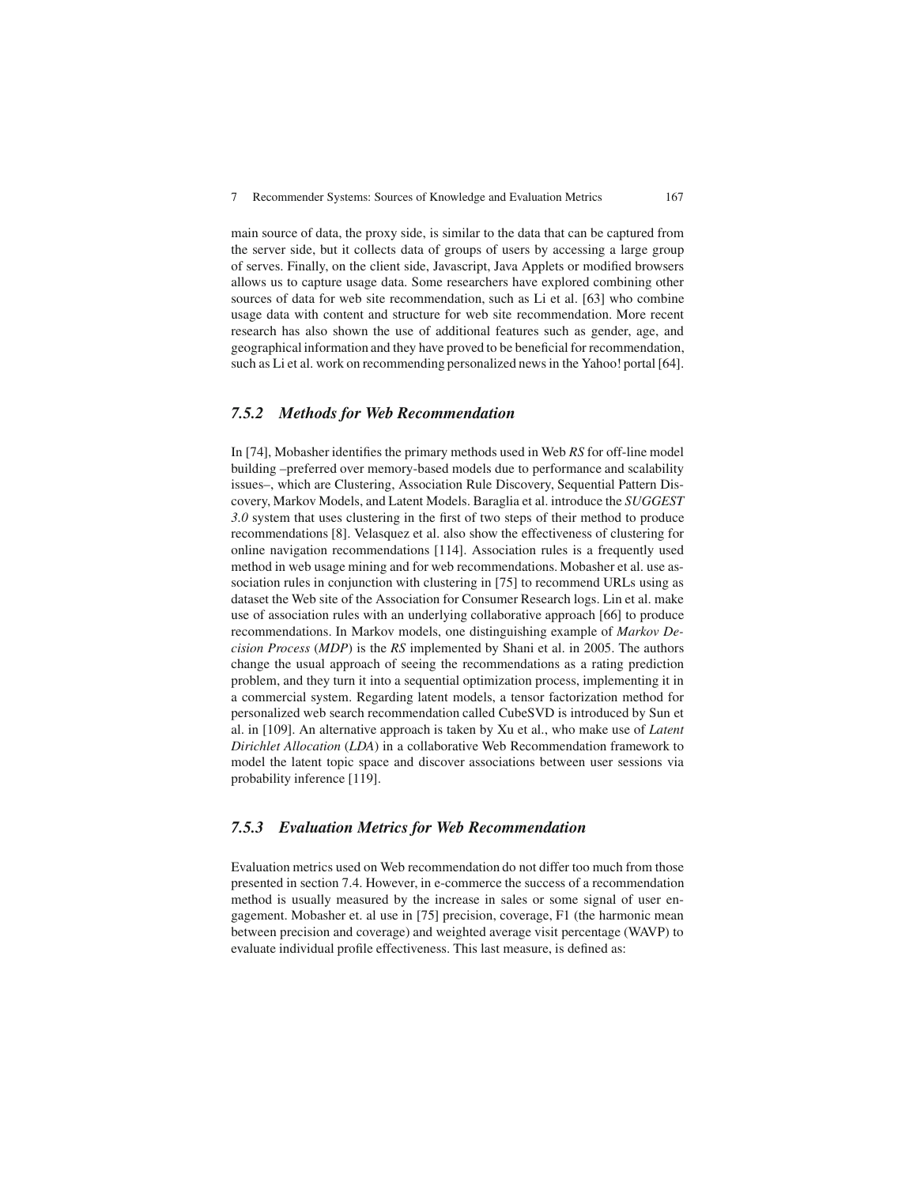main source of data, the proxy side, is similar to the data that can be captured from the server side, but it collects data of groups of users by accessing a large group of serves. Finally, on the client side, Javascript, Java Applets or modified browsers allows us to capture usage data. Some researchers have explored combining other sources of data for web site recommendation, such as Li et al. [63] who combine usage data with content and structure for web site recommendation. More recent research has also shown the use of additional features such as gender, age, and geographical information and they have proved to be beneficial for recommendation, such as Li et al. work on recommending personalized news in the Yahoo! portal [64].

#### *7.5.2 Methods for Web Recommendation*

In [74], Mobasher identifies the primary methods used in Web *RS* for off-line model building –preferred over memory-based models due to performance and scalability issues–, which are Clustering, Association Rule Discovery, Sequential Pattern Discovery, Markov Models, and Latent Models. Baraglia et al. introduce the *SUGGEST 3.0* system that uses clustering in the first of two steps of their method to produce recommendations [8]. Velasquez et al. also show the effectiveness of clustering for online navigation recommendations [114]. Association rules is a frequently used method in web usage mining and for web recommendations. Mobasher et al. use association rules in conjunction with clustering in [75] to recommend URLs using as dataset the Web site of the Association for Consumer Research logs. Lin et al. make use of association rules with an underlying collaborative approach [66] to produce recommendations. In Markov models, one distinguishing example of *Markov Decision Process* (*MDP*) is the *RS* implemented by Shani et al. in 2005. The authors change the usual approach of seeing the recommendations as a rating prediction problem, and they turn it into a sequential optimization process, implementing it in a commercial system. Regarding latent models, a tensor factorization method for personalized web search recommendation called CubeSVD is introduced by Sun et al. in [109]. An alternative approach is taken by Xu et al., who make use of *Latent Dirichlet Allocation* (*LDA*) in a collaborative Web Recommendation framework to model the latent topic space and discover associations between user sessions via probability inference [119].

#### *7.5.3 Evaluation Metrics for Web Recommendation*

Evaluation metrics used on Web recommendation do not differ too much from those presented in section 7.4. However, in e-commerce the success of a recommendation method is usually measured by the increase in sales or some signal of user engagement. Mobasher et. al use in [75] precision, coverage, F1 (the harmonic mean between precision and coverage) and weighted average visit percentage (WAVP) to evaluate individual profile effectiveness. This last measure, is defined as: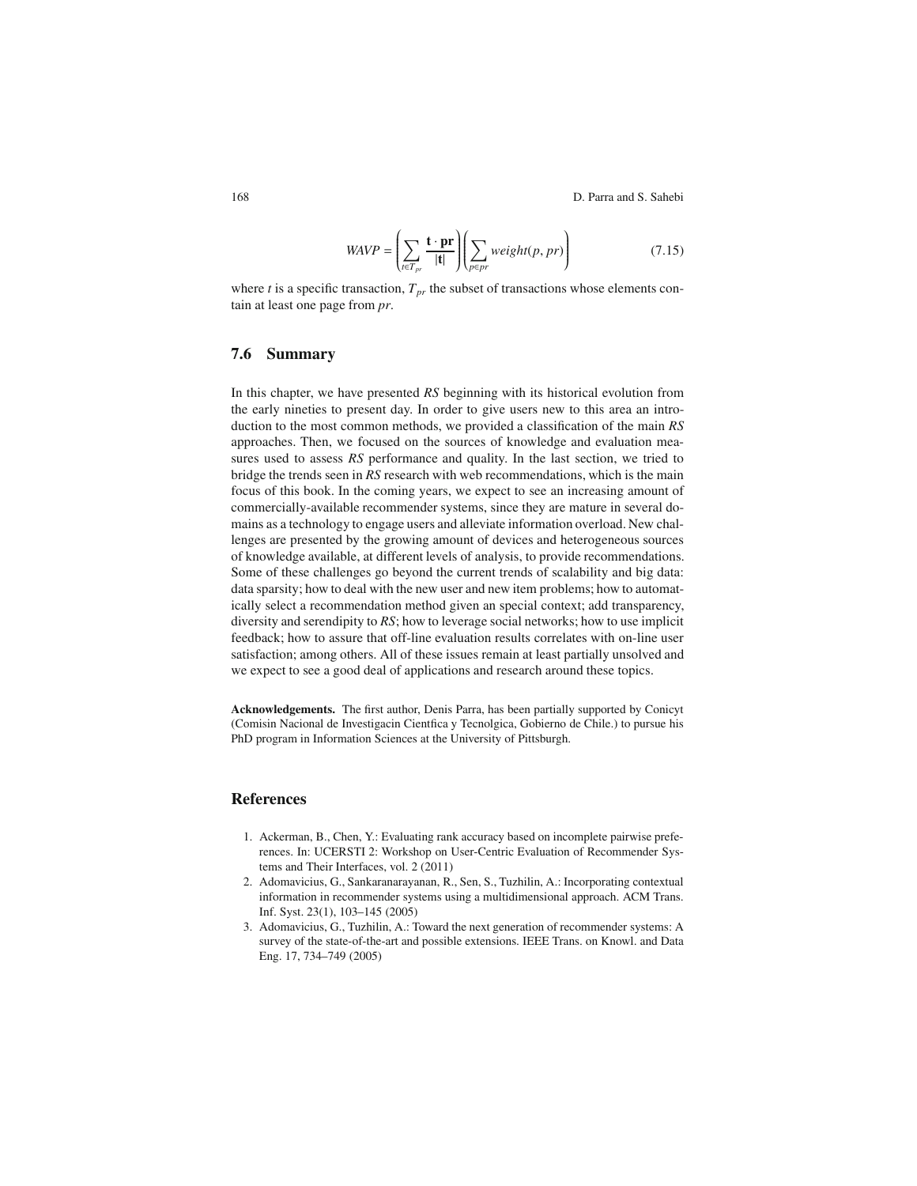$$
WAVP = \left(\sum_{t \in T_{pr}} \frac{\mathbf{t} \cdot \mathbf{pr}}{|\mathbf{t}|} \right) \left(\sum_{p \in pr} weight(p, pr)\right) \tag{7.15}
$$

where *t* is a specific transaction,  $T_{pr}$  the subset of transactions whose elements contain at least one page from *pr*.

## **7.6 Summary**

In this chapter, we have presented *RS* beginning with its historical evolution from the early nineties to present day. In order to give users new to this area an introduction to the most common methods, we provided a classification of the main *RS* approaches. Then, we focused on the sources of knowledge and evaluation measures used to assess *RS* performance and quality. In the last section, we tried to bridge the trends seen in *RS* research with web recommendations, which is the main focus of this book. In the coming years, we expect to see an increasing amount of commercially-available recommender systems, since they are mature in several domains as a technology to engage users and alleviate information overload. New challenges are presented by the growing amount of devices and heterogeneous sources of knowledge available, at different levels of analysis, to provide recommendations. Some of these challenges go beyond the current trends of scalability and big data: data sparsity; how to deal with the new user and new item problems; how to automatically select a recommendation method given an special context; add transparency, diversity and serendipity to *RS*; how to leverage social networks; how to use implicit feedback; how to assure that off-line evaluation results correlates with on-line user satisfaction; among others. All of these issues remain at least partially unsolved and we expect to see a good deal of applications and research around these topics.

**Acknowledgements.** The first author, Denis Parra, has been partially supported by Conicyt (Comisin Nacional de Investigacin Cientfica y Tecnolgica, Gobierno de Chile.) to pursue his PhD program in Information Sciences at the University of Pittsburgh.

## **References**

- 1. Ackerman, B., Chen, Y.: Evaluating rank accuracy based on incomplete pairwise preferences. In: UCERSTI 2: Workshop on User-Centric Evaluation of Recommender Systems and Their Interfaces, vol. 2 (2011)
- 2. Adomavicius, G., Sankaranarayanan, R., Sen, S., Tuzhilin, A.: Incorporating contextual information in recommender systems using a multidimensional approach. ACM Trans. Inf. Syst. 23(1), 103–145 (2005)
- 3. Adomavicius, G., Tuzhilin, A.: Toward the next generation of recommender systems: A survey of the state-of-the-art and possible extensions. IEEE Trans. on Knowl. and Data Eng. 17, 734–749 (2005)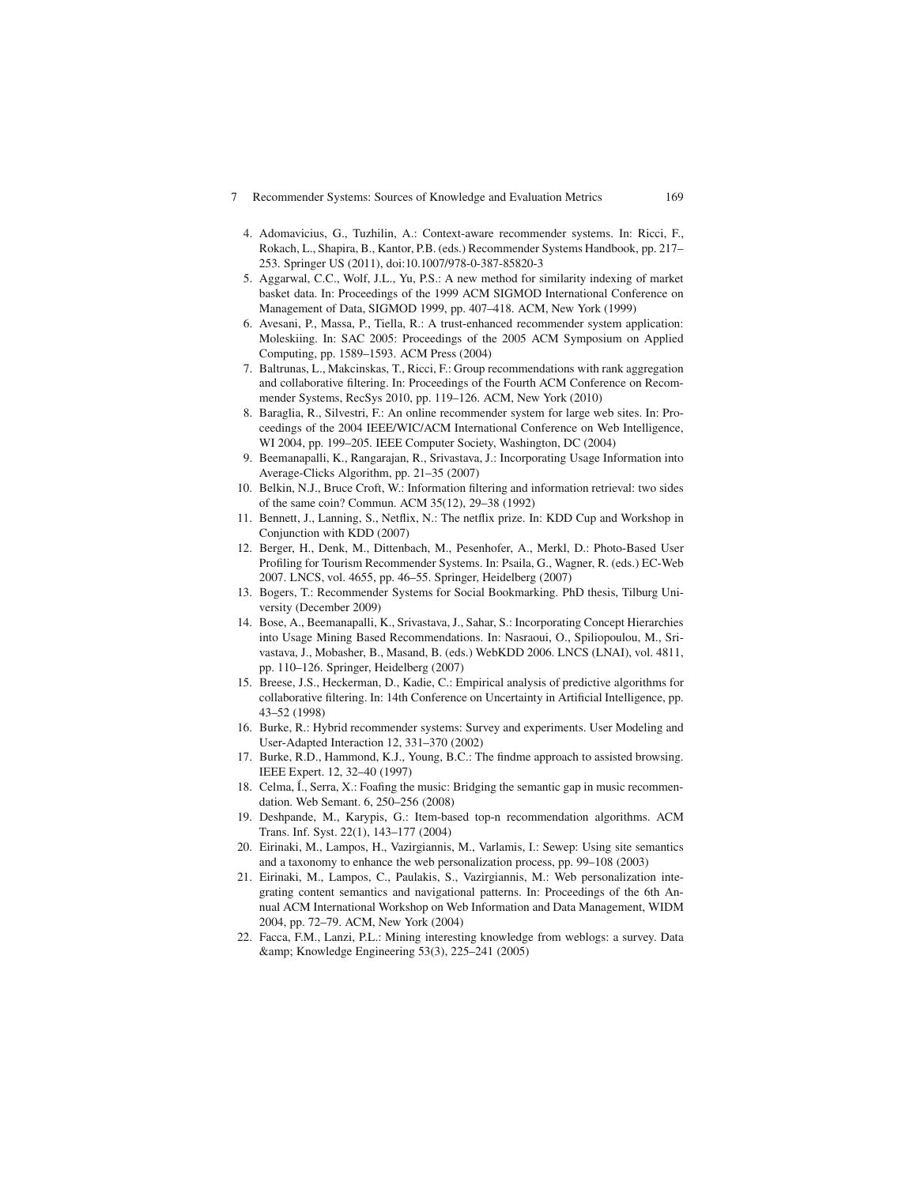- Recommender Systems: Sources of Knowledge and Evaluation Metrics 169
	- 4. Adomavicius, G., Tuzhilin, A.: Context-aware recommender systems. In: Ricci, F., Rokach, L., Shapira, B., Kantor, P.B. (eds.) Recommender Systems Handbook, pp. 217– 253. Springer US (2011), doi:10.1007/978-0-387-85820-3
	- 5. Aggarwal, C.C., Wolf, J.L., Yu, P.S.: A new method for similarity indexing of market basket data. In: Proceedings of the 1999 ACM SIGMOD International Conference on Management of Data, SIGMOD 1999, pp. 407–418. ACM, New York (1999)
	- 6. Avesani, P., Massa, P., Tiella, R.: A trust-enhanced recommender system application: Moleskiing. In: SAC 2005: Proceedings of the 2005 ACM Symposium on Applied Computing, pp. 1589–1593. ACM Press (2004)
	- 7. Baltrunas, L., Makcinskas, T., Ricci, F.: Group recommendations with rank aggregation and collaborative filtering. In: Proceedings of the Fourth ACM Conference on Recommender Systems, RecSys 2010, pp. 119–126. ACM, New York (2010)
	- 8. Baraglia, R., Silvestri, F.: An online recommender system for large web sites. In: Proceedings of the 2004 IEEE/WIC/ACM International Conference on Web Intelligence, WI 2004, pp. 199–205. IEEE Computer Society, Washington, DC (2004)
	- 9. Beemanapalli, K., Rangarajan, R., Srivastava, J.: Incorporating Usage Information into Average-Clicks Algorithm, pp. 21–35 (2007)
- 10. Belkin, N.J., Bruce Croft, W.: Information filtering and information retrieval: two sides of the same coin? Commun. ACM 35(12), 29–38 (1992)
- 11. Bennett, J., Lanning, S., Netflix, N.: The netflix prize. In: KDD Cup and Workshop in Conjunction with KDD (2007)
- 12. Berger, H., Denk, M., Dittenbach, M., Pesenhofer, A., Merkl, D.: Photo-Based User Profiling for Tourism Recommender Systems. In: Psaila, G., Wagner, R. (eds.) EC-Web 2007. LNCS, vol. 4655, pp. 46–55. Springer, Heidelberg (2007)
- 13. Bogers, T.: Recommender Systems for Social Bookmarking. PhD thesis, Tilburg University (December 2009)
- 14. Bose, A., Beemanapalli, K., Srivastava, J., Sahar, S.: Incorporating Concept Hierarchies into Usage Mining Based Recommendations. In: Nasraoui, O., Spiliopoulou, M., Srivastava, J., Mobasher, B., Masand, B. (eds.) WebKDD 2006. LNCS (LNAI), vol. 4811, pp. 110–126. Springer, Heidelberg (2007)
- 15. Breese, J.S., Heckerman, D., Kadie, C.: Empirical analysis of predictive algorithms for collaborative filtering. In: 14th Conference on Uncertainty in Artificial Intelligence, pp. 43–52 (1998)
- 16. Burke, R.: Hybrid recommender systems: Survey and experiments. User Modeling and User-Adapted Interaction 12, 331–370 (2002)
- 17. Burke, R.D., Hammond, K.J., Young, B.C.: The findme approach to assisted browsing. IEEE Expert. 12, 32–40 (1997)
- 18. Celma, Í., Serra, X.: Foafing the music: Bridging the semantic gap in music recommendation. Web Semant. 6, 250–256 (2008)
- 19. Deshpande, M., Karypis, G.: Item-based top-n recommendation algorithms. ACM Trans. Inf. Syst. 22(1), 143–177 (2004)
- 20. Eirinaki, M., Lampos, H., Vazirgiannis, M., Varlamis, I.: Sewep: Using site semantics and a taxonomy to enhance the web personalization process, pp. 99–108 (2003)
- 21. Eirinaki, M., Lampos, C., Paulakis, S., Vazirgiannis, M.: Web personalization integrating content semantics and navigational patterns. In: Proceedings of the 6th Annual ACM International Workshop on Web Information and Data Management, WIDM 2004, pp. 72–79. ACM, New York (2004)
- 22. Facca, F.M., Lanzi, P.L.: Mining interesting knowledge from weblogs: a survey. Data & Knowledge Engineering 53(3), 225–241 (2005)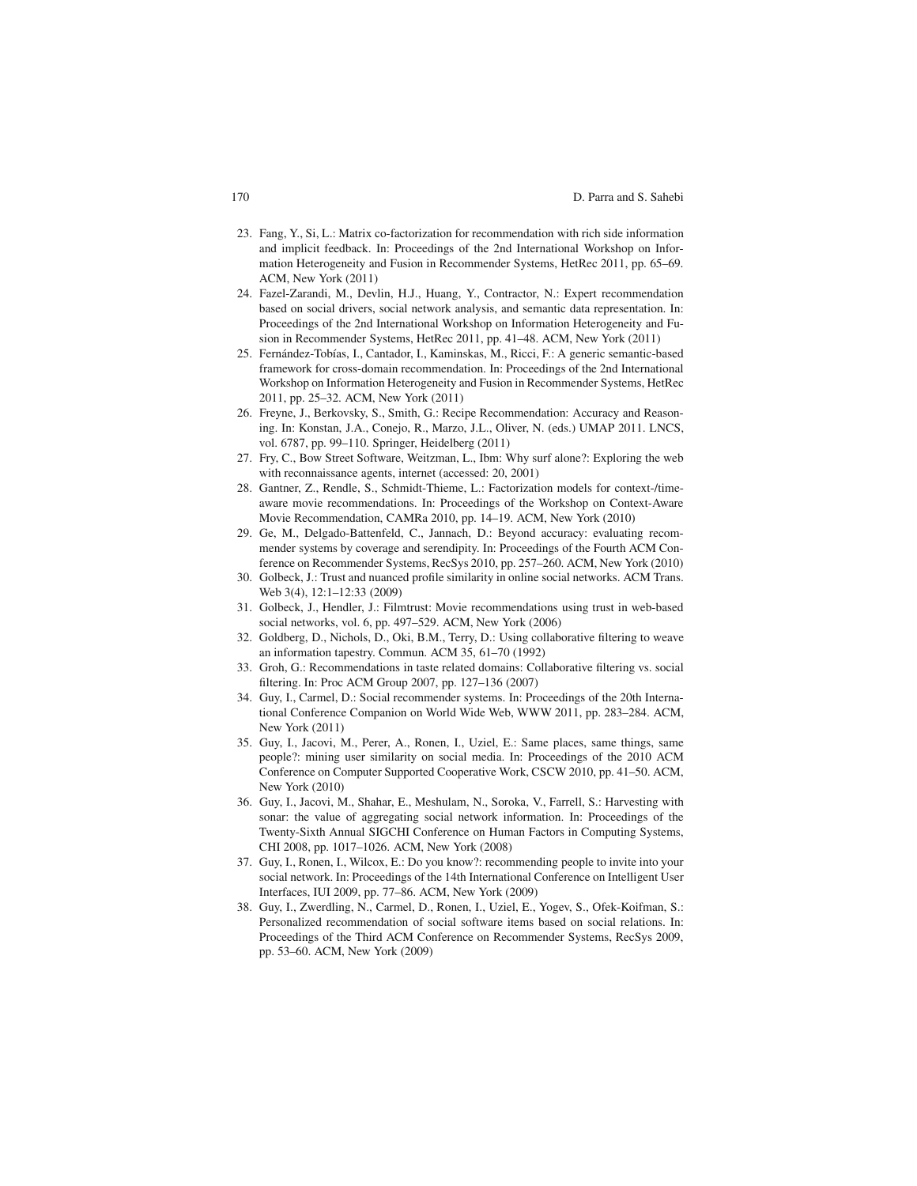- 23. Fang, Y., Si, L.: Matrix co-factorization for recommendation with rich side information and implicit feedback. In: Proceedings of the 2nd International Workshop on Information Heterogeneity and Fusion in Recommender Systems, HetRec 2011, pp. 65–69. ACM, New York (2011)
- 24. Fazel-Zarandi, M., Devlin, H.J., Huang, Y., Contractor, N.: Expert recommendation based on social drivers, social network analysis, and semantic data representation. In: Proceedings of the 2nd International Workshop on Information Heterogeneity and Fusion in Recommender Systems, HetRec 2011, pp. 41–48. ACM, New York (2011)
- 25. Fernández-Tobías, I., Cantador, I., Kaminskas, M., Ricci, F.: A generic semantic-based framework for cross-domain recommendation. In: Proceedings of the 2nd International Workshop on Information Heterogeneity and Fusion in Recommender Systems, HetRec 2011, pp. 25–32. ACM, New York (2011)
- 26. Freyne, J., Berkovsky, S., Smith, G.: Recipe Recommendation: Accuracy and Reasoning. In: Konstan, J.A., Conejo, R., Marzo, J.L., Oliver, N. (eds.) UMAP 2011. LNCS, vol. 6787, pp. 99–110. Springer, Heidelberg (2011)
- 27. Fry, C., Bow Street Software, Weitzman, L., Ibm: Why surf alone?: Exploring the web with reconnaissance agents, internet (accessed: 20, 2001)
- 28. Gantner, Z., Rendle, S., Schmidt-Thieme, L.: Factorization models for context-/timeaware movie recommendations. In: Proceedings of the Workshop on Context-Aware Movie Recommendation, CAMRa 2010, pp. 14–19. ACM, New York (2010)
- 29. Ge, M., Delgado-Battenfeld, C., Jannach, D.: Beyond accuracy: evaluating recommender systems by coverage and serendipity. In: Proceedings of the Fourth ACM Conference on Recommender Systems, RecSys 2010, pp. 257–260. ACM, New York (2010)
- 30. Golbeck, J.: Trust and nuanced profile similarity in online social networks. ACM Trans. Web 3(4), 12:1–12:33 (2009)
- 31. Golbeck, J., Hendler, J.: Filmtrust: Movie recommendations using trust in web-based social networks, vol. 6, pp. 497–529. ACM, New York (2006)
- 32. Goldberg, D., Nichols, D., Oki, B.M., Terry, D.: Using collaborative filtering to weave an information tapestry. Commun. ACM 35, 61–70 (1992)
- 33. Groh, G.: Recommendations in taste related domains: Collaborative filtering vs. social filtering. In: Proc ACM Group 2007, pp. 127–136 (2007)
- 34. Guy, I., Carmel, D.: Social recommender systems. In: Proceedings of the 20th International Conference Companion on World Wide Web, WWW 2011, pp. 283–284. ACM, New York (2011)
- 35. Guy, I., Jacovi, M., Perer, A., Ronen, I., Uziel, E.: Same places, same things, same people?: mining user similarity on social media. In: Proceedings of the 2010 ACM Conference on Computer Supported Cooperative Work, CSCW 2010, pp. 41–50. ACM, New York (2010)
- 36. Guy, I., Jacovi, M., Shahar, E., Meshulam, N., Soroka, V., Farrell, S.: Harvesting with sonar: the value of aggregating social network information. In: Proceedings of the Twenty-Sixth Annual SIGCHI Conference on Human Factors in Computing Systems, CHI 2008, pp. 1017–1026. ACM, New York (2008)
- 37. Guy, I., Ronen, I., Wilcox, E.: Do you know?: recommending people to invite into your social network. In: Proceedings of the 14th International Conference on Intelligent User Interfaces, IUI 2009, pp. 77–86. ACM, New York (2009)
- 38. Guy, I., Zwerdling, N., Carmel, D., Ronen, I., Uziel, E., Yogev, S., Ofek-Koifman, S.: Personalized recommendation of social software items based on social relations. In: Proceedings of the Third ACM Conference on Recommender Systems, RecSys 2009, pp. 53–60. ACM, New York (2009)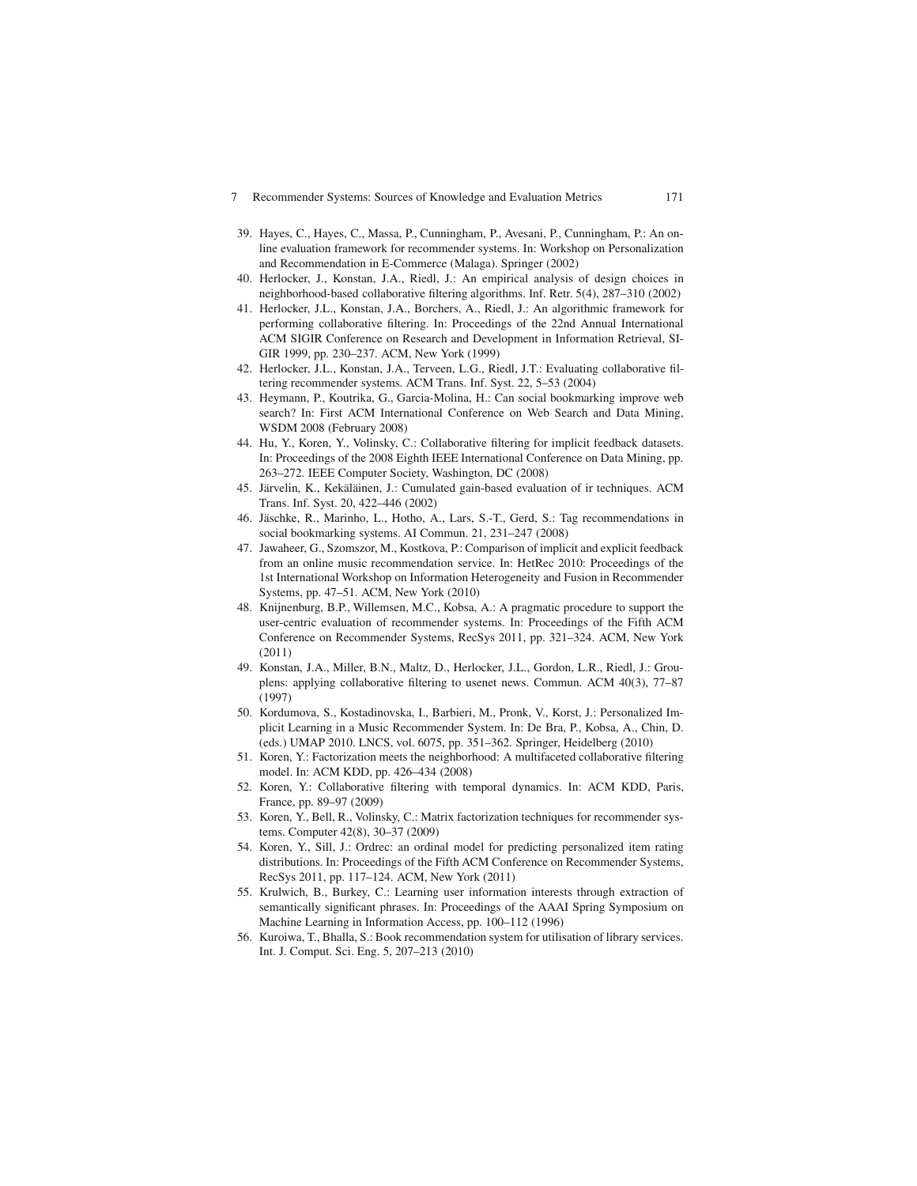- Recommender Systems: Sources of Knowledge and Evaluation Metrics 171
- 39. Hayes, C., Hayes, C., Massa, P., Cunningham, P., Avesani, P., Cunningham, P.: An online evaluation framework for recommender systems. In: Workshop on Personalization and Recommendation in E-Commerce (Malaga). Springer (2002)
- 40. Herlocker, J., Konstan, J.A., Riedl, J.: An empirical analysis of design choices in neighborhood-based collaborative filtering algorithms. Inf. Retr. 5(4), 287–310 (2002)
- 41. Herlocker, J.L., Konstan, J.A., Borchers, A., Riedl, J.: An algorithmic framework for performing collaborative filtering. In: Proceedings of the 22nd Annual International ACM SIGIR Conference on Research and Development in Information Retrieval, SI-GIR 1999, pp. 230–237. ACM, New York (1999)
- 42. Herlocker, J.L., Konstan, J.A., Terveen, L.G., Riedl, J.T.: Evaluating collaborative filtering recommender systems. ACM Trans. Inf. Syst. 22, 5–53 (2004)
- 43. Heymann, P., Koutrika, G., Garcia-Molina, H.: Can social bookmarking improve web search? In: First ACM International Conference on Web Search and Data Mining, WSDM 2008 (February 2008)
- 44. Hu, Y., Koren, Y., Volinsky, C.: Collaborative filtering for implicit feedback datasets. In: Proceedings of the 2008 Eighth IEEE International Conference on Data Mining, pp. 263–272. IEEE Computer Society, Washington, DC (2008)
- 45. Järvelin, K., Kekäläinen, J.: Cumulated gain-based evaluation of ir techniques. ACM Trans. Inf. Syst. 20, 422–446 (2002)
- 46. Jäschke, R., Marinho, L., Hotho, A., Lars, S.-T., Gerd, S.: Tag recommendations in social bookmarking systems. AI Commun. 21, 231–247 (2008)
- 47. Jawaheer, G., Szomszor, M., Kostkova, P.: Comparison of implicit and explicit feedback from an online music recommendation service. In: HetRec 2010: Proceedings of the 1st International Workshop on Information Heterogeneity and Fusion in Recommender Systems, pp. 47–51. ACM, New York (2010)
- 48. Knijnenburg, B.P., Willemsen, M.C., Kobsa, A.: A pragmatic procedure to support the user-centric evaluation of recommender systems. In: Proceedings of the Fifth ACM Conference on Recommender Systems, RecSys 2011, pp. 321–324. ACM, New York (2011)
- 49. Konstan, J.A., Miller, B.N., Maltz, D., Herlocker, J.L., Gordon, L.R., Riedl, J.: Grouplens: applying collaborative filtering to usenet news. Commun. ACM 40(3), 77–87 (1997)
- 50. Kordumova, S., Kostadinovska, I., Barbieri, M., Pronk, V., Korst, J.: Personalized Implicit Learning in a Music Recommender System. In: De Bra, P., Kobsa, A., Chin, D. (eds.) UMAP 2010. LNCS, vol. 6075, pp. 351–362. Springer, Heidelberg (2010)
- 51. Koren, Y.: Factorization meets the neighborhood: A multifaceted collaborative filtering model. In: ACM KDD, pp. 426–434 (2008)
- 52. Koren, Y.: Collaborative filtering with temporal dynamics. In: ACM KDD, Paris, France, pp. 89–97 (2009)
- 53. Koren, Y., Bell, R., Volinsky, C.: Matrix factorization techniques for recommender systems. Computer 42(8), 30–37 (2009)
- 54. Koren, Y., Sill, J.: Ordrec: an ordinal model for predicting personalized item rating distributions. In: Proceedings of the Fifth ACM Conference on Recommender Systems, RecSys 2011, pp. 117–124. ACM, New York (2011)
- 55. Krulwich, B., Burkey, C.: Learning user information interests through extraction of semantically significant phrases. In: Proceedings of the AAAI Spring Symposium on Machine Learning in Information Access, pp. 100–112 (1996)
- 56. Kuroiwa, T., Bhalla, S.: Book recommendation system for utilisation of library services. Int. J. Comput. Sci. Eng. 5, 207–213 (2010)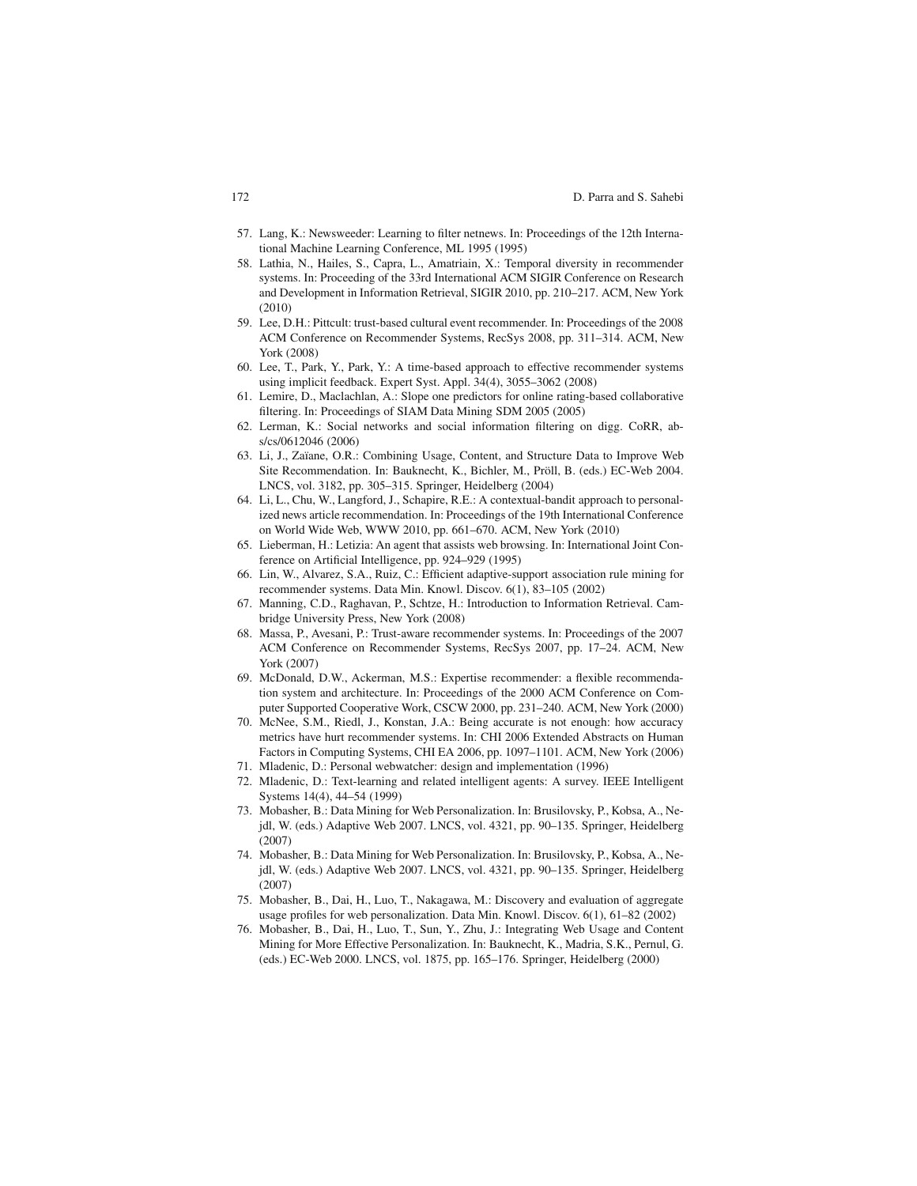- 57. Lang, K.: Newsweeder: Learning to filter netnews. In: Proceedings of the 12th International Machine Learning Conference, ML 1995 (1995)
- 58. Lathia, N., Hailes, S., Capra, L., Amatriain, X.: Temporal diversity in recommender systems. In: Proceeding of the 33rd International ACM SIGIR Conference on Research and Development in Information Retrieval, SIGIR 2010, pp. 210–217. ACM, New York (2010)
- 59. Lee, D.H.: Pittcult: trust-based cultural event recommender. In: Proceedings of the 2008 ACM Conference on Recommender Systems, RecSys 2008, pp. 311–314. ACM, New York (2008)
- 60. Lee, T., Park, Y., Park, Y.: A time-based approach to effective recommender systems using implicit feedback. Expert Syst. Appl. 34(4), 3055–3062 (2008)
- 61. Lemire, D., Maclachlan, A.: Slope one predictors for online rating-based collaborative filtering. In: Proceedings of SIAM Data Mining SDM 2005 (2005)
- 62. Lerman, K.: Social networks and social information filtering on digg. CoRR, abs/cs/0612046 (2006)
- 63. Li, J., Za¨ıane, O.R.: Combining Usage, Content, and Structure Data to Improve Web Site Recommendation. In: Bauknecht, K., Bichler, M., Pröll, B. (eds.) EC-Web 2004. LNCS, vol. 3182, pp. 305–315. Springer, Heidelberg (2004)
- 64. Li, L., Chu, W., Langford, J., Schapire, R.E.: A contextual-bandit approach to personalized news article recommendation. In: Proceedings of the 19th International Conference on World Wide Web, WWW 2010, pp. 661–670. ACM, New York (2010)
- Lieberman, H.: Letizia: An agent that assists web browsing. In: International Joint Conference on Artificial Intelligence, pp. 924–929 (1995)
- 66. Lin, W., Alvarez, S.A., Ruiz, C.: Efficient adaptive-support association rule mining for recommender systems. Data Min. Knowl. Discov. 6(1), 83–105 (2002)
- 67. Manning, C.D., Raghavan, P., Schtze, H.: Introduction to Information Retrieval. Cambridge University Press, New York (2008)
- 68. Massa, P., Avesani, P.: Trust-aware recommender systems. In: Proceedings of the 2007 ACM Conference on Recommender Systems, RecSys 2007, pp. 17–24. ACM, New York (2007)
- 69. McDonald, D.W., Ackerman, M.S.: Expertise recommender: a flexible recommendation system and architecture. In: Proceedings of the 2000 ACM Conference on Computer Supported Cooperative Work, CSCW 2000, pp. 231–240. ACM, New York (2000)
- 70. McNee, S.M., Riedl, J., Konstan, J.A.: Being accurate is not enough: how accuracy metrics have hurt recommender systems. In: CHI 2006 Extended Abstracts on Human Factors in Computing Systems, CHI EA 2006, pp. 1097–1101. ACM, New York (2006)
- 71. Mladenic, D.: Personal webwatcher: design and implementation (1996)
- 72. Mladenic, D.: Text-learning and related intelligent agents: A survey. IEEE Intelligent Systems 14(4), 44–54 (1999)
- 73. Mobasher, B.: Data Mining for Web Personalization. In: Brusilovsky, P., Kobsa, A., Nejdl, W. (eds.) Adaptive Web 2007. LNCS, vol. 4321, pp. 90–135. Springer, Heidelberg (2007)
- 74. Mobasher, B.: Data Mining for Web Personalization. In: Brusilovsky, P., Kobsa, A., Nejdl, W. (eds.) Adaptive Web 2007. LNCS, vol. 4321, pp. 90–135. Springer, Heidelberg (2007)
- 75. Mobasher, B., Dai, H., Luo, T., Nakagawa, M.: Discovery and evaluation of aggregate usage profiles for web personalization. Data Min. Knowl. Discov. 6(1), 61–82 (2002)
- 76. Mobasher, B., Dai, H., Luo, T., Sun, Y., Zhu, J.: Integrating Web Usage and Content Mining for More Effective Personalization. In: Bauknecht, K., Madria, S.K., Pernul, G. (eds.) EC-Web 2000. LNCS, vol. 1875, pp. 165–176. Springer, Heidelberg (2000)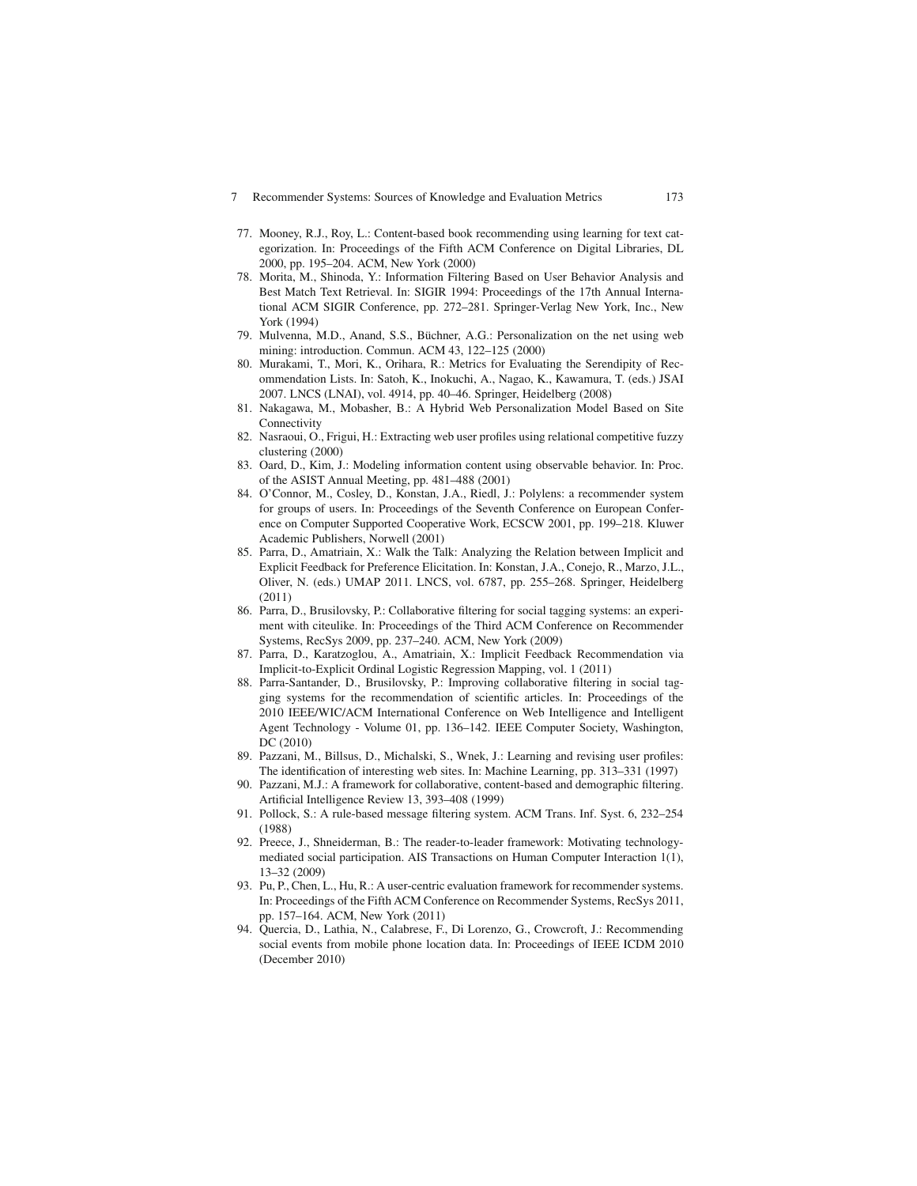- Recommender Systems: Sources of Knowledge and Evaluation Metrics 173
- 77. Mooney, R.J., Roy, L.: Content-based book recommending using learning for text categorization. In: Proceedings of the Fifth ACM Conference on Digital Libraries, DL 2000, pp. 195–204. ACM, New York (2000)
- 78. Morita, M., Shinoda, Y.: Information Filtering Based on User Behavior Analysis and Best Match Text Retrieval. In: SIGIR 1994: Proceedings of the 17th Annual International ACM SIGIR Conference, pp. 272–281. Springer-Verlag New York, Inc., New York (1994)
- 79. Mulvenna, M.D., Anand, S.S., Büchner, A.G.: Personalization on the net using web mining: introduction. Commun. ACM 43, 122–125 (2000)
- 80. Murakami, T., Mori, K., Orihara, R.: Metrics for Evaluating the Serendipity of Recommendation Lists. In: Satoh, K., Inokuchi, A., Nagao, K., Kawamura, T. (eds.) JSAI 2007. LNCS (LNAI), vol. 4914, pp. 40–46. Springer, Heidelberg (2008)
- 81. Nakagawa, M., Mobasher, B.: A Hybrid Web Personalization Model Based on Site Connectivity
- 82. Nasraoui, O., Frigui, H.: Extracting web user profiles using relational competitive fuzzy clustering (2000)
- 83. Oard, D., Kim, J.: Modeling information content using observable behavior. In: Proc. of the ASIST Annual Meeting, pp. 481–488 (2001)
- 84. O'Connor, M., Cosley, D., Konstan, J.A., Riedl, J.: Polylens: a recommender system for groups of users. In: Proceedings of the Seventh Conference on European Conference on Computer Supported Cooperative Work, ECSCW 2001, pp. 199–218. Kluwer Academic Publishers, Norwell (2001)
- 85. Parra, D., Amatriain, X.: Walk the Talk: Analyzing the Relation between Implicit and Explicit Feedback for Preference Elicitation. In: Konstan, J.A., Conejo, R., Marzo, J.L., Oliver, N. (eds.) UMAP 2011. LNCS, vol. 6787, pp. 255–268. Springer, Heidelberg (2011)
- 86. Parra, D., Brusilovsky, P.: Collaborative filtering for social tagging systems: an experiment with citeulike. In: Proceedings of the Third ACM Conference on Recommender Systems, RecSys 2009, pp. 237–240. ACM, New York (2009)
- 87. Parra, D., Karatzoglou, A., Amatriain, X.: Implicit Feedback Recommendation via Implicit-to-Explicit Ordinal Logistic Regression Mapping, vol. 1 (2011)
- 88. Parra-Santander, D., Brusilovsky, P.: Improving collaborative filtering in social tagging systems for the recommendation of scientific articles. In: Proceedings of the 2010 IEEE/WIC/ACM International Conference on Web Intelligence and Intelligent Agent Technology - Volume 01, pp. 136–142. IEEE Computer Society, Washington, DC (2010)
- 89. Pazzani, M., Billsus, D., Michalski, S., Wnek, J.: Learning and revising user profiles: The identification of interesting web sites. In: Machine Learning, pp. 313–331 (1997)
- 90. Pazzani, M.J.: A framework for collaborative, content-based and demographic filtering. Artificial Intelligence Review 13, 393–408 (1999)
- 91. Pollock, S.: A rule-based message filtering system. ACM Trans. Inf. Syst. 6, 232–254 (1988)
- 92. Preece, J., Shneiderman, B.: The reader-to-leader framework: Motivating technologymediated social participation. AIS Transactions on Human Computer Interaction 1(1), 13–32 (2009)
- 93. Pu, P., Chen, L., Hu, R.: A user-centric evaluation framework for recommender systems. In: Proceedings of the Fifth ACM Conference on Recommender Systems, RecSys 2011, pp. 157–164. ACM, New York (2011)
- 94. Quercia, D., Lathia, N., Calabrese, F., Di Lorenzo, G., Crowcroft, J.: Recommending social events from mobile phone location data. In: Proceedings of IEEE ICDM 2010 (December 2010)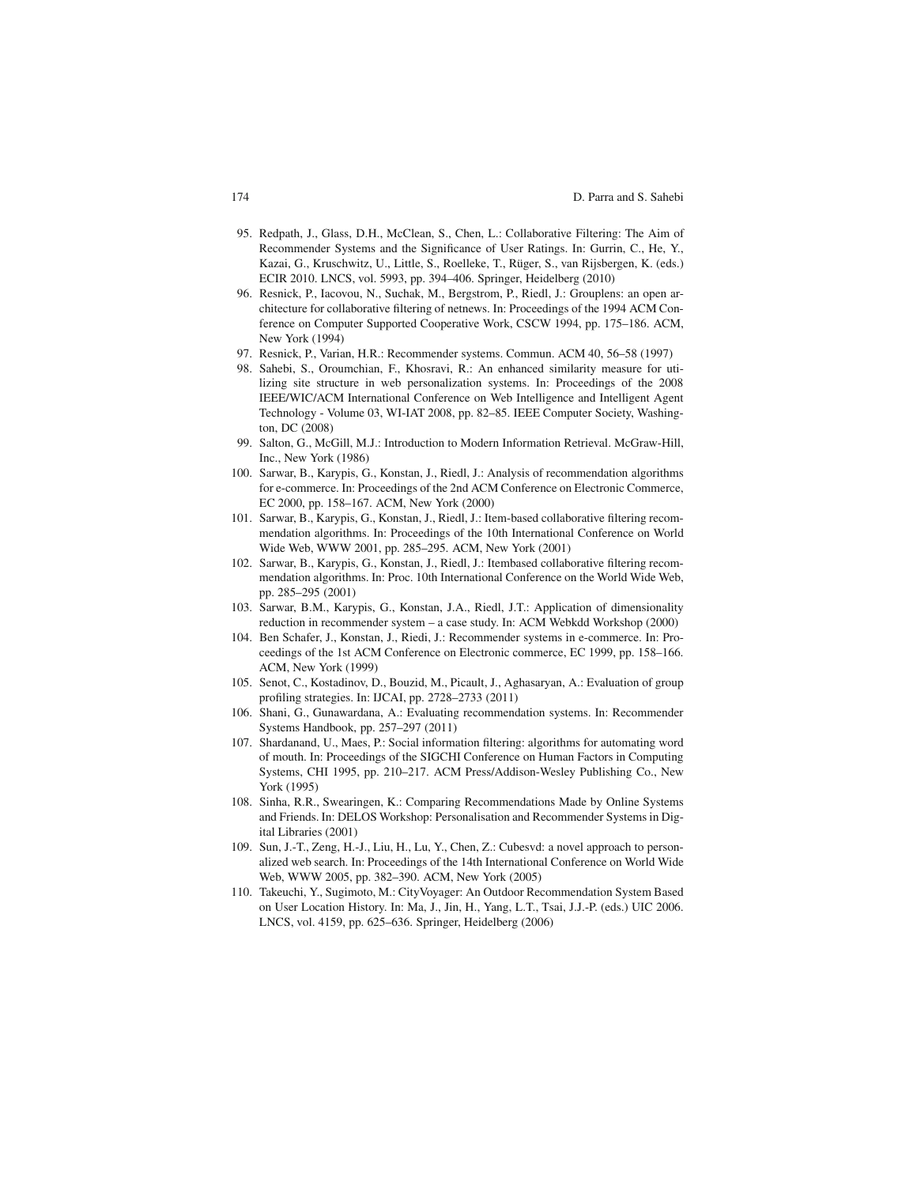- 95. Redpath, J., Glass, D.H., McClean, S., Chen, L.: Collaborative Filtering: The Aim of Recommender Systems and the Significance of User Ratings. In: Gurrin, C., He, Y., Kazai, G., Kruschwitz, U., Little, S., Roelleke, T., Rüger, S., van Rijsbergen, K. (eds.) ECIR 2010. LNCS, vol. 5993, pp. 394–406. Springer, Heidelberg (2010)
- 96. Resnick, P., Iacovou, N., Suchak, M., Bergstrom, P., Riedl, J.: Grouplens: an open architecture for collaborative filtering of netnews. In: Proceedings of the 1994 ACM Conference on Computer Supported Cooperative Work, CSCW 1994, pp. 175–186. ACM, New York (1994)
- 97. Resnick, P., Varian, H.R.: Recommender systems. Commun. ACM 40, 56–58 (1997)
- 98. Sahebi, S., Oroumchian, F., Khosravi, R.: An enhanced similarity measure for utilizing site structure in web personalization systems. In: Proceedings of the 2008 IEEE/WIC/ACM International Conference on Web Intelligence and Intelligent Agent Technology - Volume 03, WI-IAT 2008, pp. 82–85. IEEE Computer Society, Washington, DC (2008)
- 99. Salton, G., McGill, M.J.: Introduction to Modern Information Retrieval. McGraw-Hill, Inc., New York (1986)
- 100. Sarwar, B., Karypis, G., Konstan, J., Riedl, J.: Analysis of recommendation algorithms for e-commerce. In: Proceedings of the 2nd ACM Conference on Electronic Commerce, EC 2000, pp. 158–167. ACM, New York (2000)
- 101. Sarwar, B., Karypis, G., Konstan, J., Riedl, J.: Item-based collaborative filtering recommendation algorithms. In: Proceedings of the 10th International Conference on World Wide Web, WWW 2001, pp. 285–295. ACM, New York (2001)
- 102. Sarwar, B., Karypis, G., Konstan, J., Riedl, J.: Itembased collaborative filtering recommendation algorithms. In: Proc. 10th International Conference on the World Wide Web, pp. 285–295 (2001)
- 103. Sarwar, B.M., Karypis, G., Konstan, J.A., Riedl, J.T.: Application of dimensionality reduction in recommender system – a case study. In: ACM Webkdd Workshop (2000)
- 104. Ben Schafer, J., Konstan, J., Riedi, J.: Recommender systems in e-commerce. In: Proceedings of the 1st ACM Conference on Electronic commerce, EC 1999, pp. 158–166. ACM, New York (1999)
- 105. Senot, C., Kostadinov, D., Bouzid, M., Picault, J., Aghasaryan, A.: Evaluation of group profiling strategies. In: IJCAI, pp. 2728–2733 (2011)
- 106. Shani, G., Gunawardana, A.: Evaluating recommendation systems. In: Recommender Systems Handbook, pp. 257–297 (2011)
- 107. Shardanand, U., Maes, P.: Social information filtering: algorithms for automating word of mouth. In: Proceedings of the SIGCHI Conference on Human Factors in Computing Systems, CHI 1995, pp. 210–217. ACM Press/Addison-Wesley Publishing Co., New York (1995)
- 108. Sinha, R.R., Swearingen, K.: Comparing Recommendations Made by Online Systems and Friends. In: DELOS Workshop: Personalisation and Recommender Systems in Digital Libraries (2001)
- 109. Sun, J.-T., Zeng, H.-J., Liu, H., Lu, Y., Chen, Z.: Cubesvd: a novel approach to personalized web search. In: Proceedings of the 14th International Conference on World Wide Web, WWW 2005, pp. 382–390. ACM, New York (2005)
- 110. Takeuchi, Y., Sugimoto, M.: CityVoyager: An Outdoor Recommendation System Based on User Location History. In: Ma, J., Jin, H., Yang, L.T., Tsai, J.J.-P. (eds.) UIC 2006. LNCS, vol. 4159, pp. 625–636. Springer, Heidelberg (2006)